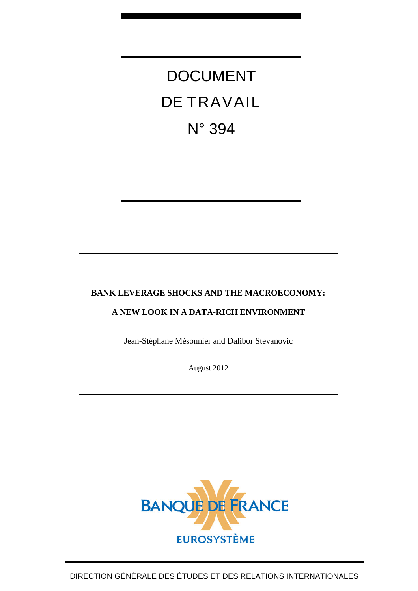DOCUMENT DE TRAVAIL N° 394

**BANK LEVERAGE SHOCKS AND THE MACROECONOMY:** 

**A NEW LOOK IN A DATA-RICH ENVIRONMENT** 

Jean-Stéphane Mésonnier and Dalibor Stevanovic

August 2012

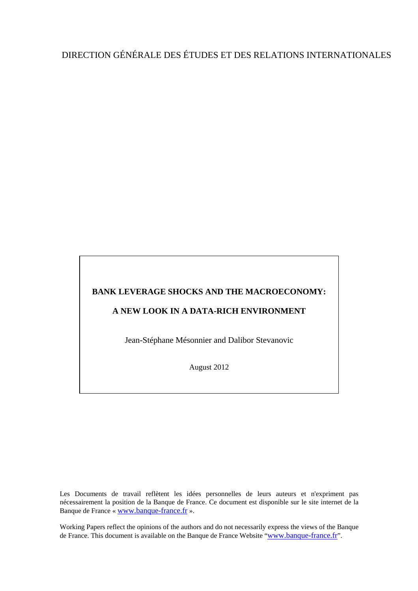# DIRECTION GÉNÉRALE DES ÉTUDES ET DES RELATIONS INTERNATIONALES

## **BANK LEVERAGE SHOCKS AND THE MACROECONOMY:**

## **A NEW LOOK IN A DATA-RICH ENVIRONMENT**

Jean-Stéphane Mésonnier and Dalibor Stevanovic

August 2012

Les Documents de travail reflètent les idées personnelles de leurs auteurs et n'expriment pas nécessairement la position de la Banque de France. Ce document est disponible sur le site internet de la Banque de France « [www.banque-france.fr](http://www.banque-france.fr/) ».

Working Papers reflect the opinions of the authors and do not necessarily express the views of the Banque de France. This document is available on the Banque de France Website "[www.banque-france.fr](http://www.banque-france.fr/)".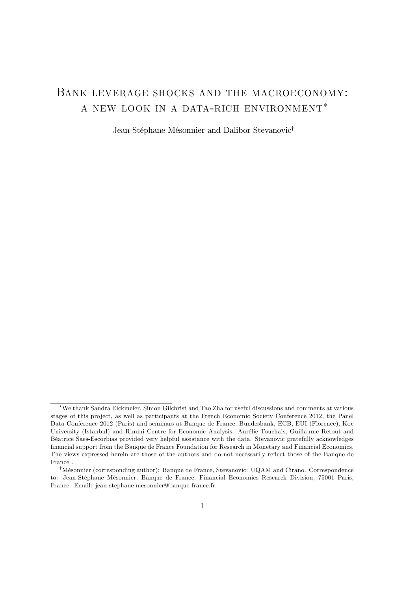## BANK LEVERAGE SHOCKS AND THE MACROECONOMY: a new look in a data-rich environment

Jean-Stéphane Mésonnier and Dalibor Stevanovic<sup>†</sup>

We thank Sandra Eickmeier, Simon Gilchrist and Tao Zha for useful discussions and comments at various stages of this project, as well as participants at the French Economic Society Conference 2012, the Panel Data Conference 2012 (Paris) and seminars at Banque de France, Bundesbank, ECB, EUI (Florence), Koc University (Istanbul) and Rimini Centre for Economic Analysis. Aurélie Touchais, Guillaume Retout and BÈatrice Saes-Escorbias provided very helpful assistance with the data. Stevanovic gratefully acknowledges Önancial support from the Banque de France Foundation for Research in Monetary and Financial Economics. The views expressed herein are those of the authors and do not necessarily reflect those of the Banque de France .

<sup>&</sup>lt;sup>†</sup>Mésonnier (corresponding author): Banque de France, Stevanovic: UQAM and Cirano. Correspondence to: Jean-StÈphane MÈsonnier, Banque de France, Financial Economics Research Division, 75001 Paris, France. Email: jean-stephane.mesonnier@banque-france.fr.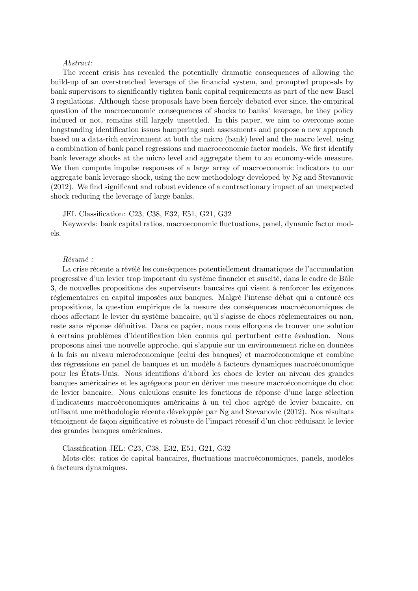#### Abstract:

The recent crisis has revealed the potentially dramatic consequences of allowing the build-up of an overstretched leverage of the financial system, and prompted proposals by bank supervisors to significantly tighten bank capital requirements as part of the new Basel 3 regulations. Although these proposals have been fiercely debated ever since, the empirical question of the macroeconomic consequences of shocks to banks' leverage, be they policy induced or not, remains still largely unsettled. In this paper, we aim to overcome some longstanding identification issues hampering such assessments and propose a new approach based on a data-rich environment at both the micro (bank) level and the macro level, using a combination of bank panel regressions and macroeconomic factor models. We first identify bank leverage shocks at the micro level and aggregate them to an economy-wide measure. We then compute impulse responses of a large array of macroeconomic indicators to our aggregate bank leverage shock, using the new methodology developed by Ng and Stevanovic  $(2012)$ . We find significant and robust evidence of a contractionary impact of an unexpected shock reducing the leverage of large banks.

#### JEL Classification: C23, C38, E32, E51, G21, G32

Keywords: bank capital ratios, macroeconomic áuctuations, panel, dynamic factor models.

#### RÈsumÈ :

La crise récente a révélé les conséquences potentiellement dramatiques de l'accumulation progressive d'un levier trop important du système financier et suscité, dans le cadre de Bâle 3, de nouvelles propositions des superviseurs bancaires qui visent à renforcer les exigences réglementaires en capital imposées aux banques. Malgré l'intense débat qui a entouré ces propositions, la question empirique de la mesure des consÈquences macroÈconomiques de chocs affectant le levier du système bancaire, qu'il s'agisse de chocs réglementaires ou non, reste sans réponse définitive. Dans ce papier, nous nous efforçons de trouver une solution  $\dot{a}$  certains problèmes d'identification bien connus qui perturbent cette évaluation. Nous proposons ainsi une nouvelle approche, qui síappuie sur un environnement riche en donnÈes ‡ la fois au niveau microÈconomique (celui des banques) et macroÈconomique et combine des régressions en panel de banques et un modèle à facteurs dynamiques macroéconomique pour les États-Unis. Nous identifions d'abord les chocs de levier au niveau des grandes banques américaines et les agrégeons pour en dériver une mesure macroéconomique du choc de levier bancaire. Nous calculons ensuite les fonctions de réponse d'une large sélection d'indicateurs macroéconomiques américains à un tel choc agrégé de levier bancaire, en utilisant une méthodologie récente développée par Ng and Stevanovic (2012). Nos résultats témoignent de façon significative et robuste de l'impact récessif d'un choc réduisant le levier des grandes banques amÈricaines.

Classification JEL: C23, C38, E32, E51, G21, G32

Mots-clés: ratios de capital bancaires, fluctuations macroéconomiques, panels, modèles  $\alpha$  facteurs dynamiques.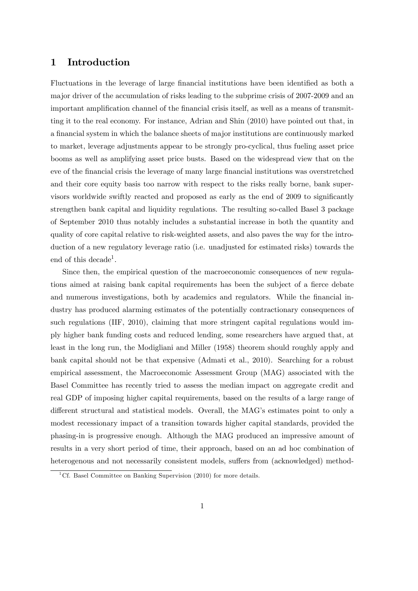## 1 Introduction

Fluctuations in the leverage of large financial institutions have been identified as both a major driver of the accumulation of risks leading to the subprime crisis of 2007-2009 and an important amplification channel of the financial crisis itself, as well as a means of transmitting it to the real economy. For instance, Adrian and Shin (2010) have pointed out that, in a financial system in which the balance sheets of major institutions are continuously marked to market, leverage adjustments appear to be strongly pro-cyclical, thus fueling asset price booms as well as amplifying asset price busts. Based on the widespread view that on the eve of the financial crisis the leverage of many large financial institutions was overstretched and their core equity basis too narrow with respect to the risks really borne, bank supervisors worldwide swiftly reacted and proposed as early as the end of 2009 to significantly strengthen bank capital and liquidity regulations. The resulting so-called Basel 3 package of September 2010 thus notably includes a substantial increase in both the quantity and quality of core capital relative to risk-weighted assets, and also paves the way for the introduction of a new regulatory leverage ratio (i.e. unadjusted for estimated risks) towards the end of this decade<sup>1</sup>.

Since then, the empirical question of the macroeconomic consequences of new regulations aimed at raising bank capital requirements has been the subject of a fierce debate and numerous investigations, both by academics and regulators. While the financial industry has produced alarming estimates of the potentially contractionary consequences of such regulations (IIF, 2010), claiming that more stringent capital regulations would imply higher bank funding costs and reduced lending, some researchers have argued that, at least in the long run, the Modigliani and Miller (1958) theorem should roughly apply and bank capital should not be that expensive (Admati et al., 2010). Searching for a robust empirical assessment, the Macroeconomic Assessment Group (MAG) associated with the Basel Committee has recently tried to assess the median impact on aggregate credit and real GDP of imposing higher capital requirements, based on the results of a large range of different structural and statistical models. Overall, the MAG's estimates point to only a modest recessionary impact of a transition towards higher capital standards, provided the phasing-in is progressive enough. Although the MAG produced an impressive amount of results in a very short period of time, their approach, based on an ad hoc combination of heterogenous and not necessarily consistent models, suffers from (acknowledged) method-

<sup>&</sup>lt;sup>1</sup>Cf. Basel Committee on Banking Supervision (2010) for more details.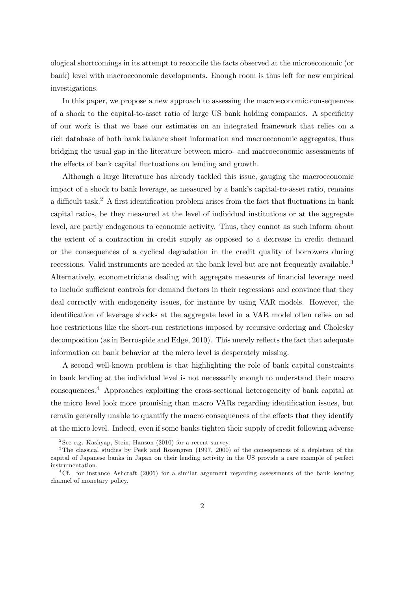ological shortcomings in its attempt to reconcile the facts observed at the microeconomic (or bank) level with macroeconomic developments. Enough room is thus left for new empirical investigations.

In this paper, we propose a new approach to assessing the macroeconomic consequences of a shock to the capital-to-asset ratio of large US bank holding companies. A specificity of our work is that we base our estimates on an integrated framework that relies on a rich database of both bank balance sheet information and macroeconomic aggregates, thus bridging the usual gap in the literature between micro- and macroeconomic assessments of the effects of bank capital fluctuations on lending and growth.

Although a large literature has already tackled this issue, gauging the macroeconomic impact of a shock to bank leverage, as measured by a bank's capital-to-asset ratio, remains a difficult task.<sup>2</sup> A first identification problem arises from the fact that fluctuations in bank capital ratios, be they measured at the level of individual institutions or at the aggregate level, are partly endogenous to economic activity. Thus, they cannot as such inform about the extent of a contraction in credit supply as opposed to a decrease in credit demand or the consequences of a cyclical degradation in the credit quality of borrowers during recessions. Valid instruments are needed at the bank level but are not frequently available.<sup>3</sup> Alternatively, econometricians dealing with aggregate measures of financial leverage need to include sufficient controls for demand factors in their regressions and convince that they deal correctly with endogeneity issues, for instance by using VAR models. However, the identification of leverage shocks at the aggregate level in a VAR model often relies on ad hoc restrictions like the short-run restrictions imposed by recursive ordering and Cholesky decomposition (as in Berrospide and Edge, 2010). This merely reflects the fact that adequate information on bank behavior at the micro level is desperately missing.

A second well-known problem is that highlighting the role of bank capital constraints in bank lending at the individual level is not necessarily enough to understand their macro consequences.<sup>4</sup> Approaches exploiting the cross-sectional heterogeneity of bank capital at the micro level look more promising than macro VARs regarding identification issues, but remain generally unable to quantify the macro consequences of the effects that they identify at the micro level. Indeed, even if some banks tighten their supply of credit following adverse

<sup>&</sup>lt;sup>2</sup>See e.g. Kashyap, Stein, Hanson (2010) for a recent survey.

<sup>3</sup>The classical studies by Peek and Rosengren (1997, 2000) of the consequences of a depletion of the capital of Japanese banks in Japan on their lending activity in the US provide a rare example of perfect instrumentation.

<sup>4</sup>Cf. for instance Ashcraft (2006) for a similar argument regarding assessments of the bank lending channel of monetary policy.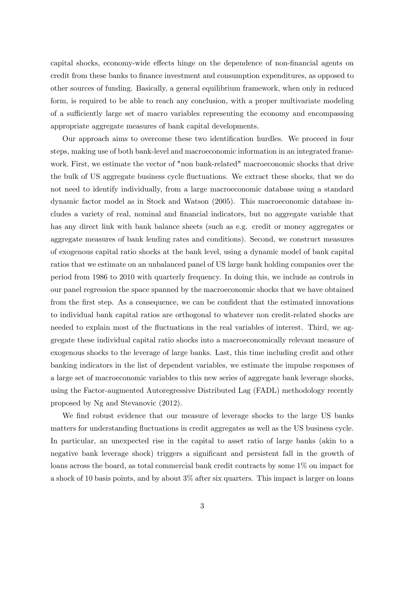capital shocks, economy-wide effects hinge on the dependence of non-financial agents on credit from these banks to Önance investment and consumption expenditures, as opposed to other sources of funding. Basically, a general equilibrium framework, when only in reduced form, is required to be able to reach any conclusion, with a proper multivariate modeling of a sufficiently large set of macro variables representing the economy and encompassing appropriate aggregate measures of bank capital developments.

Our approach aims to overcome these two identification hurdles. We proceed in four steps, making use of both bank-level and macroeconomic information in an integrated framework. First, we estimate the vector of "non bank-related" macroeconomic shocks that drive the bulk of US aggregate business cycle fluctuations. We extract these shocks, that we do not need to identify individually, from a large macroeconomic database using a standard dynamic factor model as in Stock and Watson (2005). This macroeconomic database includes a variety of real, nominal and Önancial indicators, but no aggregate variable that has any direct link with bank balance sheets (such as e.g. credit or money aggregates or aggregate measures of bank lending rates and conditions). Second, we construct measures of exogenous capital ratio shocks at the bank level, using a dynamic model of bank capital ratios that we estimate on an unbalanced panel of US large bank holding companies over the period from 1986 to 2010 with quarterly frequency. In doing this, we include as controls in our panel regression the space spanned by the macroeconomic shocks that we have obtained from the first step. As a consequence, we can be confident that the estimated innovations to individual bank capital ratios are orthogonal to whatever non credit-related shocks are needed to explain most of the fluctuations in the real variables of interest. Third, we aggregate these individual capital ratio shocks into a macroeconomically relevant measure of exogenous shocks to the leverage of large banks. Last, this time including credit and other banking indicators in the list of dependent variables, we estimate the impulse responses of a large set of macroeconomic variables to this new series of aggregate bank leverage shocks, using the Factor-augmented Autoregressive Distributed Lag (FADL) methodology recently proposed by Ng and Stevanovic (2012).

We find robust evidence that our measure of leverage shocks to the large US banks matters for understanding fluctuations in credit aggregates as well as the US business cycle. In particular, an unexpected rise in the capital to asset ratio of large banks (akin to a negative bank leverage shock) triggers a significant and persistent fall in the growth of loans across the board, as total commercial bank credit contracts by some 1% on impact for a shock of 10 basis points, and by about 3% after six quarters. This impact is larger on loans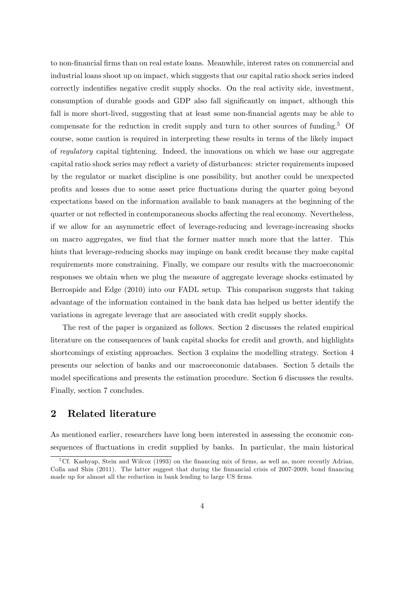to non-financial firms than on real estate loans. Meanwhile, interest rates on commercial and industrial loans shoot up on impact, which suggests that our capital ratio shock series indeed correctly indentifies negative credit supply shocks. On the real activity side, investment, consumption of durable goods and GDP also fall significantly on impact, although this fall is more short-lived, suggesting that at least some non-financial agents may be able to compensate for the reduction in credit supply and turn to other sources of funding.<sup>5</sup> Of course, some caution is required in interpreting these results in terms of the likely impact of regulatory capital tightening. Indeed, the innovations on which we base our aggregate capital ratio shock series may reflect a variety of disturbances: stricter requirements imposed by the regulator or market discipline is one possibility, but another could be unexpected proÖts and losses due to some asset price áuctuations during the quarter going beyond expectations based on the information available to bank managers at the beginning of the quarter or not reflected in contemporaneous shocks affecting the real economy. Nevertheless, if we allow for an asymmetric effect of leverage-reducing and leverage-increasing shocks on macro aggregates, we Önd that the former matter much more that the latter. This hints that leverage-reducing shocks may impinge on bank credit because they make capital requirements more constraining. Finally, we compare our results with the macroeconomic responses we obtain when we plug the measure of aggregate leverage shocks estimated by Berrospide and Edge (2010) into our FADL setup. This comparison suggests that taking advantage of the information contained in the bank data has helped us better identify the variations in agregate leverage that are associated with credit supply shocks.

The rest of the paper is organized as follows. Section 2 discusses the related empirical literature on the consequences of bank capital shocks for credit and growth, and highlights shortcomings of existing approaches. Section 3 explains the modelling strategy. Section 4 presents our selection of banks and our macroeconomic databases. Section 5 details the model specifications and presents the estimation procedure. Section 6 discusses the results. Finally, section 7 concludes.

## 2 Related literature

As mentioned earlier, researchers have long been interested in assessing the economic consequences of fluctuations in credit supplied by banks. In particular, the main historical

 $5Cf.$  Kashyap, Stein and Wilcox (1993) on the financing mix of firms, as well as, more recently Adrian, Colla and Shin (2011). The latter suggest that during the finnancial crisis of 2007-2009, bond financing made up for almost all the reduction in bank lending to large US firms.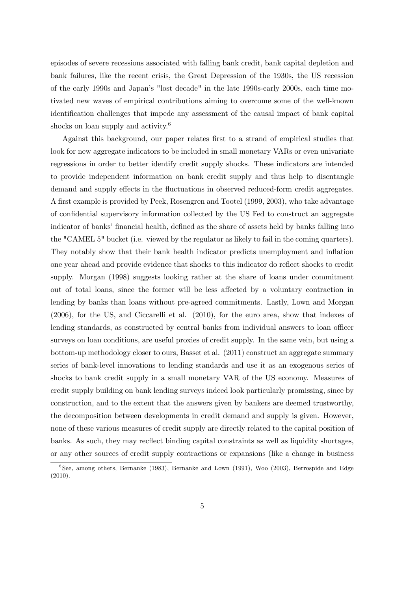episodes of severe recessions associated with falling bank credit, bank capital depletion and bank failures, like the recent crisis, the Great Depression of the 1930s, the US recession of the early 1990s and Japanís "lost decade" in the late 1990s-early 2000s, each time motivated new waves of empirical contributions aiming to overcome some of the well-known identification challenges that impede any assessment of the causal impact of bank capital shocks on loan supply and activity.<sup>6</sup>

Against this background, our paper relates Örst to a strand of empirical studies that look for new aggregate indicators to be included in small monetary VARs or even univariate regressions in order to better identify credit supply shocks. These indicators are intended to provide independent information on bank credit supply and thus help to disentangle demand and supply effects in the fluctuations in observed reduced-form credit aggregates. A first example is provided by Peek, Rosengren and Tootel (1999, 2003), who take advantage of confidential supervisory information collected by the US Fed to construct an aggregate indicator of banks' financial health, defined as the share of assets held by banks falling into the "CAMEL 5" bucket (i.e. viewed by the regulator as likely to fail in the coming quarters). They notably show that their bank health indicator predicts unemployment and inflation one year ahead and provide evidence that shocks to this indicator do reflect shocks to credit supply. Morgan (1998) suggests looking rather at the share of loans under commitment out of total loans, since the former will be less affected by a voluntary contraction in lending by banks than loans without pre-agreed commitments. Lastly, Lown and Morgan (2006), for the US, and Ciccarelli et al. (2010), for the euro area, show that indexes of lending standards, as constructed by central banks from individual answers to loan officer surveys on loan conditions, are useful proxies of credit supply. In the same vein, but using a bottom-up methodology closer to ours, Basset et al. (2011) construct an aggregate summary series of bank-level innovations to lending standards and use it as an exogenous series of shocks to bank credit supply in a small monetary VAR of the US economy. Measures of credit supply building on bank lending surveys indeed look particularly promissing, since by construction, and to the extent that the answers given by bankers are deemed trustworthy, the decomposition between developments in credit demand and supply is given. However, none of these various measures of credit supply are directly related to the capital position of banks. As such, they may recflect binding capital constraints as well as liquidity shortages, or any other sources of credit supply contractions or expansions (like a change in business

<sup>6</sup> See, among others, Bernanke (1983), Bernanke and Lown (1991), Woo (2003), Berrospide and Edge (2010).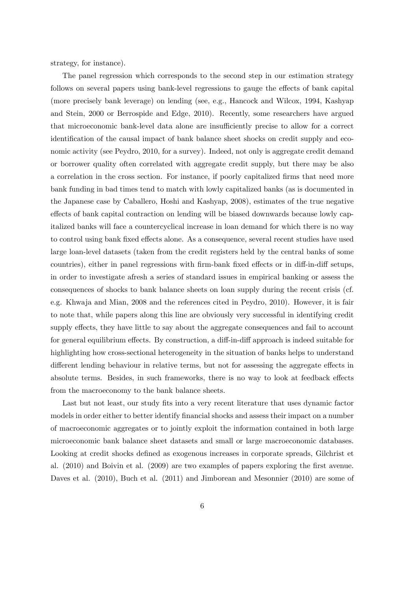strategy, for instance).

The panel regression which corresponds to the second step in our estimation strategy follows on several papers using bank-level regressions to gauge the effects of bank capital (more precisely bank leverage) on lending (see, e.g., Hancock and Wilcox, 1994, Kashyap and Stein, 2000 or Berrospide and Edge, 2010). Recently, some researchers have argued that microeconomic bank-level data alone are insufficiently precise to allow for a correct identification of the causal impact of bank balance sheet shocks on credit supply and economic activity (see Peydro, 2010, for a survey). Indeed, not only is aggregate credit demand or borrower quality often correlated with aggregate credit supply, but there may be also a correlation in the cross section. For instance, if poorly capitalized firms that need more bank funding in bad times tend to match with lowly capitalized banks (as is documented in the Japanese case by Caballero, Hoshi and Kashyap, 2008), estimates of the true negative effects of bank capital contraction on lending will be biased downwards because lowly capitalized banks will face a countercyclical increase in loan demand for which there is no way to control using bank fixed effects alone. As a consequence, several recent studies have used large loan-level datasets (taken from the credit registers held by the central banks of some countries), either in panel regressions with firm-bank fixed effects or in diff-in-diff setups, in order to investigate afresh a series of standard issues in empirical banking or assess the consequences of shocks to bank balance sheets on loan supply during the recent crisis (cf. e.g. Khwaja and Mian, 2008 and the references cited in Peydro, 2010). However, it is fair to note that, while papers along this line are obviously very successful in identifying credit supply effects, they have little to say about the aggregate consequences and fail to account for general equilibrium effects. By construction, a diff-in-diff approach is indeed suitable for highlighting how cross-sectional heterogeneity in the situation of banks helps to understand different lending behaviour in relative terms, but not for assessing the aggregate effects in absolute terms. Besides, in such frameworks, there is no way to look at feedback effects from the macroeconomy to the bank balance sheets.

Last but not least, our study fits into a very recent literature that uses dynamic factor models in order either to better identify financial shocks and assess their impact on a number of macroeconomic aggregates or to jointly exploit the information contained in both large microeconomic bank balance sheet datasets and small or large macroeconomic databases. Looking at credit shocks defined as exogenous increases in corporate spreads, Gilchrist et al. (2010) and Boivin et al. (2009) are two examples of papers exploring the Örst avenue. Daves et al. (2010), Buch et al. (2011) and Jimborean and Mesonnier (2010) are some of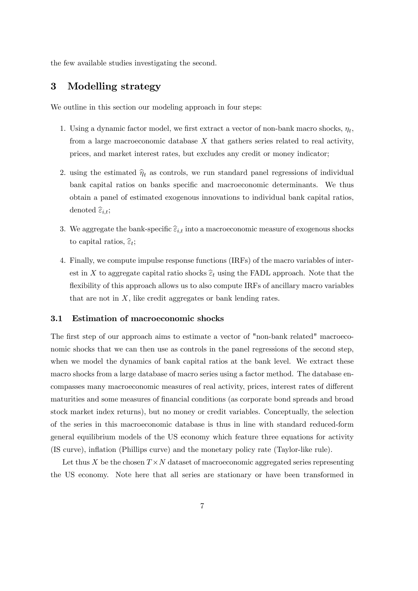the few available studies investigating the second.

## 3 Modelling strategy

We outline in this section our modeling approach in four steps:

- 1. Using a dynamic factor model, we first extract a vector of non-bank macro shocks,  $\eta_t$ , from a large macroeconomic database  $X$  that gathers series related to real activity, prices, and market interest rates, but excludes any credit or money indicator;
- 2. using the estimated  $\hat{\eta}_t$  as controls, we run standard panel regressions of individual bank capital ratios on banks specific and macroeconomic determinants. We thus obtain a panel of estimated exogenous innovations to individual bank capital ratios, denoted  $\widehat{\varepsilon}_{i,t};$
- 3. We aggregate the bank-specific  $\widehat{\varepsilon}_{i,t}$  into a macroeconomic measure of exogenous shocks to capital ratios,  $\widehat{\varepsilon}_t$ ;
- 4. Finally, we compute impulse response functions (IRFs) of the macro variables of interest in X to aggregate capital ratio shocks  $\widehat{\epsilon}_t$  using the FADL approach. Note that the flexibility of this approach allows us to also compute IRFs of ancillary macro variables that are not in  $X$ , like credit aggregates or bank lending rates.

#### 3.1 Estimation of macroeconomic shocks

The first step of our approach aims to estimate a vector of "non-bank related" macroeconomic shocks that we can then use as controls in the panel regressions of the second step, when we model the dynamics of bank capital ratios at the bank level. We extract these macro shocks from a large database of macro series using a factor method. The database encompasses many macroeconomic measures of real activity, prices, interest rates of different maturities and some measures of financial conditions (as corporate bond spreads and broad stock market index returns), but no money or credit variables. Conceptually, the selection of the series in this macroeconomic database is thus in line with standard reduced-form general equilibrium models of the US economy which feature three equations for activity (IS curve), ináation (Phillips curve) and the monetary policy rate (Taylor-like rule).

Let thus X be the chosen  $T \times N$  dataset of macroeconomic aggregated series representing the US economy. Note here that all series are stationary or have been transformed in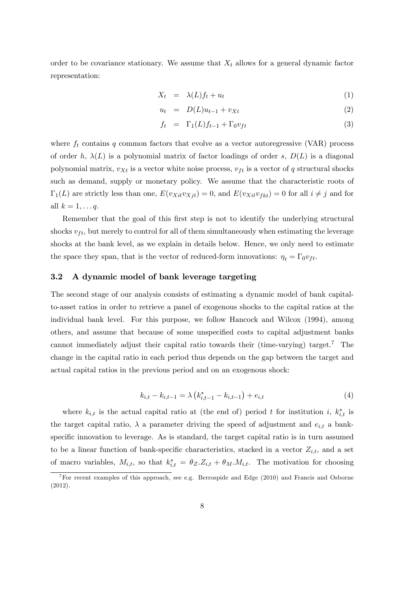order to be covariance stationary. We assume that  $X_t$  allows for a general dynamic factor representation:

$$
X_t = \lambda(L)f_t + u_t \tag{1}
$$

$$
u_t = D(L)u_{t-1} + v_{Xt} \tag{2}
$$

$$
f_t = \Gamma_1(L)f_{t-1} + \Gamma_0 v_{ft} \tag{3}
$$

where  $f_t$  contains q common factors that evolve as a vector autoregressive (VAR) process of order h,  $\lambda(L)$  is a polynomial matrix of factor loadings of order s,  $D(L)$  is a diagonal polynomial matrix,  $v_{Xt}$  is a vector white noise process,  $v_{tt}$  is a vector of q structural shocks such as demand, supply or monetary policy. We assume that the characteristic roots of  $\Gamma_1(L)$  are strictly less than one,  $E(v_{Xit}v_{Xjt}) = 0$ , and  $E(v_{Xit}v_{fkt}) = 0$  for all  $i \neq j$  and for all  $k = 1, \ldots q$ .

Remember that the goal of this first step is not to identify the underlying structural shocks  $v_{tt}$ , but merely to control for all of them simultaneously when estimating the leverage shocks at the bank level, as we explain in details below. Hence, we only need to estimate the space they span, that is the vector of reduced-form innovations:  $\eta_t = \Gamma_0 v_{ft}$ .

#### 3.2 A dynamic model of bank leverage targeting

The second stage of our analysis consists of estimating a dynamic model of bank capitalto-asset ratios in order to retrieve a panel of exogenous shocks to the capital ratios at the individual bank level. For this purpose, we follow Hancock and Wilcox (1994), among others, and assume that because of some unspecified costs to capital adjustment banks cannot immediately adjust their capital ratio towards their (time-varying) target.<sup>7</sup> The change in the capital ratio in each period thus depends on the gap between the target and actual capital ratios in the previous period and on an exogenous shock:

$$
k_{i,t} - k_{i,t-1} = \lambda \left( k_{i,t-1}^* - k_{i,t-1} \right) + e_{i,t}
$$
\n<sup>(4)</sup>

where  $k_{i,t}$  is the actual capital ratio at (the end of) period t for institution i,  $k_{i,t}^*$  is the target capital ratio,  $\lambda$  a parameter driving the speed of adjustment and  $e_{i,t}$  a bankspecific innovation to leverage. As is standard, the target capital ratio is in turn assumed to be a linear function of bank-specific characteristics, stacked in a vector  $Z_{i,t}$ , and a set of macro variables,  $M_{i,t}$ , so that  $k_{i,t}^* = \theta_Z.Z_{i,t} + \theta_M.M_{i,t}$ . The motivation for choosing

<sup>&</sup>lt;sup>7</sup>For recent examples of this approach, see e.g. Berrospide and Edge  $(2010)$  and Francis and Osborne (2012).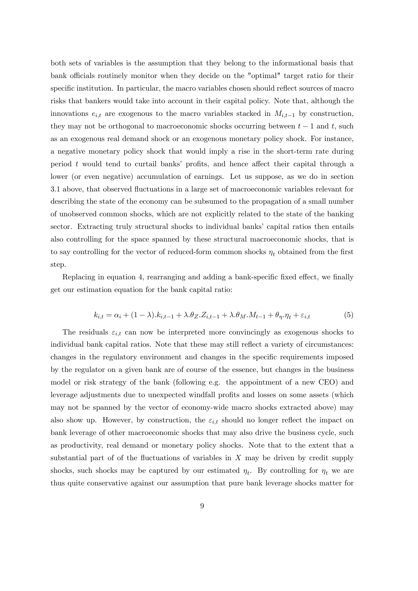both sets of variables is the assumption that they belong to the informational basis that bank officials routinely monitor when they decide on the "optimal" target ratio for their specific institution. In particular, the macro variables chosen should reflect sources of macro risks that bankers would take into account in their capital policy. Note that, although the innovations  $e_{i,t}$  are exogenous to the macro variables stacked in  $M_{i,t-1}$  by construction, they may not be orthogonal to macroeconomic shocks occurring between  $t-1$  and t, such as an exogenous real demand shock or an exogenous monetary policy shock. For instance, a negative monetary policy shock that would imply a rise in the short-term rate during period  $t$  would tend to curtail banks' profits, and hence affect their capital through a lower (or even negative) accumulation of earnings. Let us suppose, as we do in section 3.1 above, that observed áuctuations in a large set of macroeconomic variables relevant for describing the state of the economy can be subsumed to the propagation of a small number of unobserved common shocks, which are not explicitly related to the state of the banking sector. Extracting truly structural shocks to individual banks' capital ratios then entails also controlling for the space spanned by these structural macroeconomic shocks, that is to say controlling for the vector of reduced-form common shocks  $\eta_t$  obtained from the first step.

Replacing in equation 4, rearranging and adding a bank-specific fixed effect, we finally get our estimation equation for the bank capital ratio:

$$
k_{i,t} = \alpha_i + (1 - \lambda).k_{i,t-1} + \lambda.\theta_Z.Z_{i,t-1} + \lambda.\theta_M.M_{t-1} + \theta_\eta.\eta_t + \varepsilon_{i,t}
$$
(5)

The residuals  $\varepsilon_{i,t}$  can now be interpreted more convincingly as exogenous shocks to individual bank capital ratios. Note that these may still reflect a variety of circumstances: changes in the regulatory environment and changes in the specific requirements imposed by the regulator on a given bank are of course of the essence, but changes in the business model or risk strategy of the bank (following e.g. the appointment of a new CEO) and leverage adjustments due to unexpected windfall profits and losses on some assets (which may not be spanned by the vector of economy-wide macro shocks extracted above) may also show up. However, by construction, the  $\varepsilon_{i,t}$  should no longer reflect the impact on bank leverage of other macroeconomic shocks that may also drive the business cycle, such as productivity, real demand or monetary policy shocks. Note that to the extent that a substantial part of of the fluctuations of variables in  $X$  may be driven by credit supply shocks, such shocks may be captured by our estimated  $\eta_t$ . By controlling for  $\eta_t$  we are thus quite conservative against our assumption that pure bank leverage shocks matter for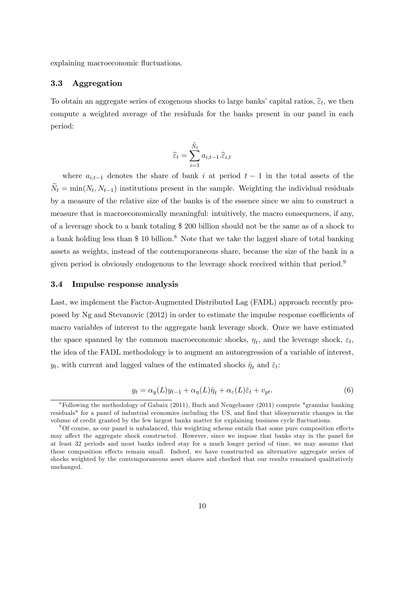explaining macroeconomic fluctuations.

#### 3.3 Aggregation

To obtain an aggregate series of exogenous shocks to large banks' capital ratios,  $\hat{\epsilon}_t$ , we then compute a weighted average of the residuals for the banks present in our panel in each period:

$$
\widehat{\varepsilon}_t = \sum_{i=1}^{\widetilde{N}_t} a_{i,t-1}.\widehat{\varepsilon}_{i,t}
$$

where  $a_{i,t-1}$  denotes the share of bank i at period  $t-1$  in the total assets of the  $N_t = \min(N_t, N_{t-1})$  institutions present in the sample. Weighting the individual residuals by a measure of the relative size of the banks is of the essence since we aim to construct a measure that is macroeconomically meaningful: intuitively, the macro consequences, if any, of a leverage shock to a bank totaling \$ 200 billion should not be the same as of a shock to a bank holding less than  $$ 10$  billion.<sup>8</sup> Note that we take the lagged share of total banking assets as weights, instead of the contemporaneous share, because the size of the bank in a given period is obviously endogenous to the leverage shock received within that period.<sup>9</sup>

#### 3.4 Impulse response analysis

Last, we implement the Factor-Augmented Distributed Lag (FADL) approach recently proposed by Ng and Stevanovic (2012) in order to estimate the impulse response coefficients of macro variables of interest to the aggregate bank leverage shock. Once we have estimated the space spanned by the common macroeconomic shocks,  $\eta_t$ , and the leverage shock,  $\varepsilon_t$ , the idea of the FADL methodology is to augment an autoregression of a variable of interest,  $y_t$ , with current and lagged values of the estimated shocks  $\hat{\eta}_t$  and  $\hat{\varepsilon}_t$ :

$$
y_t = \alpha_y(L)y_{t-1} + \alpha_\eta(L)\hat{\eta}_t + \alpha_\varepsilon(L)\hat{\varepsilon}_t + v_{yt}.\tag{6}
$$

<sup>&</sup>lt;sup>8</sup>Following the methodology of Gabaix (2011), Buch and Neugebauer (2011) compute "granular banking residuals" for a panel of industrial economies including the US, and find that idiosyncratic changes in the volume of credit granted by the few largest banks matter for explaining business cycle fluctuations.

 $90f$  course, as our panel is unbalanced, this weighting scheme entails that some pure composition effects may affect the aggregate shock constructed. However, since we impose that banks stay in the panel for at least 32 periods and most banks indeed stay for a much longer period of time, we may assume that these composition effects remain small. Indeed, we have constructed an alternative aggregate series of shocks weighted by the contemporaneous asset shares and checked that our results remained qualitatively unchanged.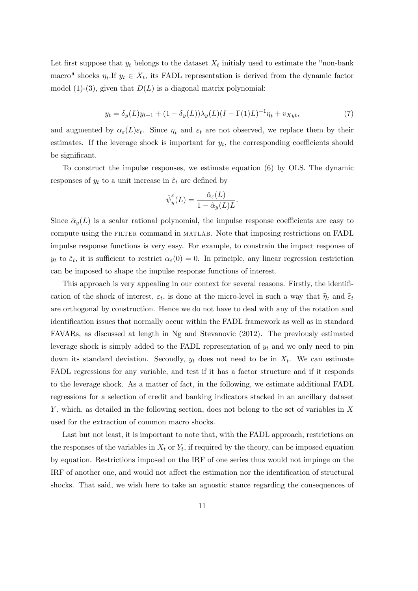Let first suppose that  $y_t$  belongs to the dataset  $X_t$  initialy used to estimate the "non-bank" macro" shocks  $\eta_t$ .If  $y_t \in X_t$ , its FADL representation is derived from the dynamic factor model (1)-(3), given that  $D(L)$  is a diagonal matrix polynomial:

$$
y_t = \delta_y(L)y_{t-1} + (1 - \delta_y(L))\lambda_y(L)(I - \Gamma(1)L)^{-1}\eta_t + v_{Xyt},
$$
\n(7)

and augmented by  $\alpha_{\varepsilon}(L)\varepsilon_t$ . Since  $\eta_t$  and  $\varepsilon_t$  are not observed, we replace them by their estimates. If the leverage shock is important for  $y_t$ , the corresponding coefficients should be significant.

To construct the impulse responses, we estimate equation (6) by OLS. The dynamic responses of  $y_t$  to a unit increase in  $\hat{\varepsilon}_t$  are defined by

$$
\hat{\psi}_y^{\varepsilon}(L) = \frac{\hat{\alpha}_{\varepsilon}(L)}{1 - \hat{\alpha}_y(L)L}.
$$

Since  $\hat{\alpha}_y(L)$  is a scalar rational polynomial, the impulse response coefficients are easy to compute using the FILTER command in MATLAB. Note that imposing restrictions on FADL impulse response functions is very easy. For example, to constrain the impact response of  $y_t$  to  $\hat{\varepsilon}_t$ , it is sufficient to restrict  $\alpha_\varepsilon(0) = 0$ . In principle, any linear regression restriction can be imposed to shape the impulse response functions of interest.

This approach is very appealing in our context for several reasons. Firstly, the identification of the shock of interest,  $\varepsilon_t$ , is done at the micro-level in such a way that  $\hat{\eta}_t$  and  $\hat{\varepsilon}_t$ are orthogonal by construction. Hence we do not have to deal with any of the rotation and identification issues that normally occur within the FADL framework as well as in standard FAVARs, as discussed at length in Ng and Stevanovic (2012). The previously estimated leverage shock is simply added to the FADL representation of  $y_t$  and we only need to pin down its standard deviation. Secondly,  $y_t$  does not need to be in  $X_t$ . We can estimate FADL regressions for any variable, and test if it has a factor structure and if it responds to the leverage shock. As a matter of fact, in the following, we estimate additional FADL regressions for a selection of credit and banking indicators stacked in an ancillary dataset  $Y$ , which, as detailed in the following section, does not belong to the set of variables in  $X$ used for the extraction of common macro shocks.

Last but not least, it is important to note that, with the FADL approach, restrictions on the responses of the variables in  $X_t$  or  $Y_t$ , if required by the theory, can be imposed equation by equation. Restrictions imposed on the IRF of one series thus would not impinge on the IRF of another one, and would not affect the estimation nor the identification of structural shocks. That said, we wish here to take an agnostic stance regarding the consequences of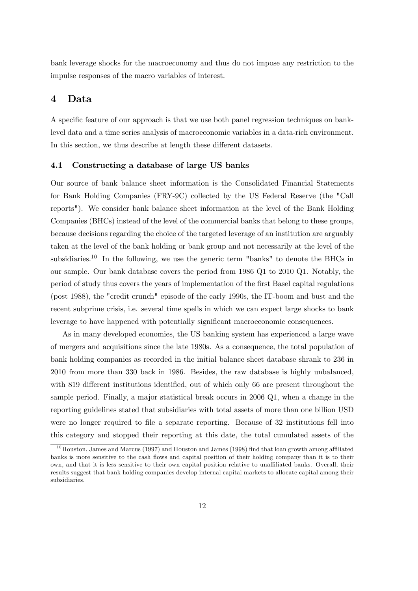bank leverage shocks for the macroeconomy and thus do not impose any restriction to the impulse responses of the macro variables of interest.

## 4 Data

A specific feature of our approach is that we use both panel regression techniques on banklevel data and a time series analysis of macroeconomic variables in a data-rich environment. In this section, we thus describe at length these different datasets.

#### 4.1 Constructing a database of large US banks

Our source of bank balance sheet information is the Consolidated Financial Statements for Bank Holding Companies (FRY-9C) collected by the US Federal Reserve (the "Call reports"). We consider bank balance sheet information at the level of the Bank Holding Companies (BHCs) instead of the level of the commercial banks that belong to these groups, because decisions regarding the choice of the targeted leverage of an institution are arguably taken at the level of the bank holding or bank group and not necessarily at the level of the subsidiaries.<sup>10</sup> In the following, we use the generic term "banks" to denote the BHCs in our sample. Our bank database covers the period from 1986 Q1 to 2010 Q1. Notably, the period of study thus covers the years of implementation of the Örst Basel capital regulations (post 1988), the "credit crunch" episode of the early 1990s, the IT-boom and bust and the recent subprime crisis, i.e. several time spells in which we can expect large shocks to bank leverage to have happened with potentially significant macroeconomic consequences.

As in many developed economies, the US banking system has experienced a large wave of mergers and acquisitions since the late 1980s. As a consequence, the total population of bank holding companies as recorded in the initial balance sheet database shrank to 236 in 2010 from more than 330 back in 1986. Besides, the raw database is highly unbalanced, with 819 different institutions identified, out of which only 66 are present throughout the sample period. Finally, a major statistical break occurs in 2006 Q1, when a change in the reporting guidelines stated that subsidiaries with total assets of more than one billion USD were no longer required to file a separate reporting. Because of 32 institutions fell into this category and stopped their reporting at this date, the total cumulated assets of the

 $10$ Houston, James and Marcus (1997) and Houston and James (1998) find that loan growth among affiliated banks is more sensitive to the cash flows and capital position of their holding company than it is to their own, and that it is less sensitive to their own capital position relative to unaffiliated banks. Overall, their results suggest that bank holding companies develop internal capital markets to allocate capital among their subsidiaries.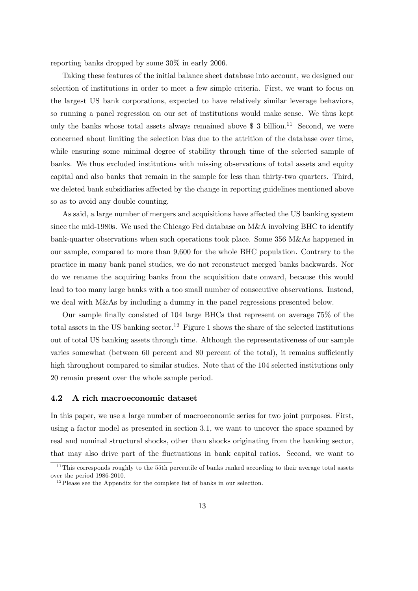reporting banks dropped by some 30% in early 2006.

Taking these features of the initial balance sheet database into account, we designed our selection of institutions in order to meet a few simple criteria. First, we want to focus on the largest US bank corporations, expected to have relatively similar leverage behaviors, so running a panel regression on our set of institutions would make sense. We thus kept only the banks whose total assets always remained above  $\$$  3 billion.<sup>11</sup> Second, we were concerned about limiting the selection bias due to the attrition of the database over time, while ensuring some minimal degree of stability through time of the selected sample of banks. We thus excluded institutions with missing observations of total assets and equity capital and also banks that remain in the sample for less than thirty-two quarters. Third, we deleted bank subsidiaries affected by the change in reporting guidelines mentioned above so as to avoid any double counting.

As said, a large number of mergers and acquisitions have affected the US banking system since the mid-1980s. We used the Chicago Fed database on M&A involving BHC to identify bank-quarter observations when such operations took place. Some 356 M&As happened in our sample, compared to more than 9,600 for the whole BHC population. Contrary to the practice in many bank panel studies, we do not reconstruct merged banks backwards. Nor do we rename the acquiring banks from the acquisition date onward, because this would lead to too many large banks with a too small number of consecutive observations. Instead, we deal with M&As by including a dummy in the panel regressions presented below.

Our sample Önally consisted of 104 large BHCs that represent on average 75% of the total assets in the US banking sector.<sup>12</sup> Figure 1 shows the share of the selected institutions out of total US banking assets through time. Although the representativeness of our sample varies somewhat (between 60 percent and 80 percent of the total), it remains sufficiently high throughout compared to similar studies. Note that of the 104 selected institutions only 20 remain present over the whole sample period.

#### 4.2 A rich macroeconomic dataset

In this paper, we use a large number of macroeconomic series for two joint purposes. First, using a factor model as presented in section 3.1, we want to uncover the space spanned by real and nominal structural shocks, other than shocks originating from the banking sector, that may also drive part of the áuctuations in bank capital ratios. Second, we want to

 $11$ This corresponds roughly to the 55th percentile of banks ranked according to their average total assets over the period 1986-2010.

 $12$ Please see the Appendix for the complete list of banks in our selection.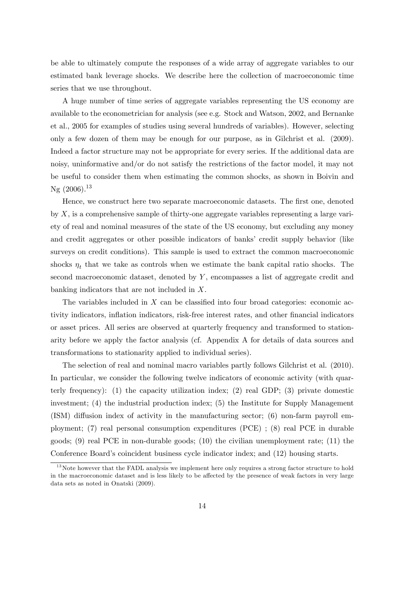be able to ultimately compute the responses of a wide array of aggregate variables to our estimated bank leverage shocks. We describe here the collection of macroeconomic time series that we use throughout.

A huge number of time series of aggregate variables representing the US economy are available to the econometrician for analysis (see e.g. Stock and Watson, 2002, and Bernanke et al., 2005 for examples of studies using several hundreds of variables). However, selecting only a few dozen of them may be enough for our purpose, as in Gilchrist et al. (2009). Indeed a factor structure may not be appropriate for every series. If the additional data are noisy, uninformative and/or do not satisfy the restrictions of the factor model, it may not be useful to consider them when estimating the common shocks, as shown in Boivin and Ng  $(2006).^{13}$ 

Hence, we construct here two separate macroeconomic datasets. The first one, denoted by X, is a comprehensive sample of thirty-one aggregate variables representing a large variety of real and nominal measures of the state of the US economy, but excluding any money and credit aggregates or other possible indicators of banks' credit supply behavior (like surveys on credit conditions). This sample is used to extract the common macroeconomic shocks  $\eta_t$  that we take as controls when we estimate the bank capital ratio shocks. The second macroeconomic dataset, denoted by Y , encompasses a list of aggregate credit and banking indicators that are not included in X.

The variables included in  $X$  can be classified into four broad categories: economic activity indicators, inflation indicators, risk-free interest rates, and other financial indicators or asset prices. All series are observed at quarterly frequency and transformed to stationarity before we apply the factor analysis (cf. Appendix A for details of data sources and transformations to stationarity applied to individual series).

The selection of real and nominal macro variables partly follows Gilchrist et al. (2010). In particular, we consider the following twelve indicators of economic activity (with quarterly frequency): (1) the capacity utilization index; (2) real GDP; (3) private domestic investment; (4) the industrial production index; (5) the Institute for Supply Management  $(ISM)$  diffusion index of activity in the manufacturing sector;  $(6)$  non-farm payroll employment; (7) real personal consumption expenditures (PCE) ; (8) real PCE in durable goods; (9) real PCE in non-durable goods; (10) the civilian unemployment rate; (11) the Conference Board's coincident business cycle indicator index; and  $(12)$  housing starts.

<sup>&</sup>lt;sup>13</sup>Note however that the FADL analysis we implement here only requires a strong factor structure to hold in the macroeconomic dataset and is less likely to be affected by the presence of weak factors in very large data sets as noted in Onatski (2009).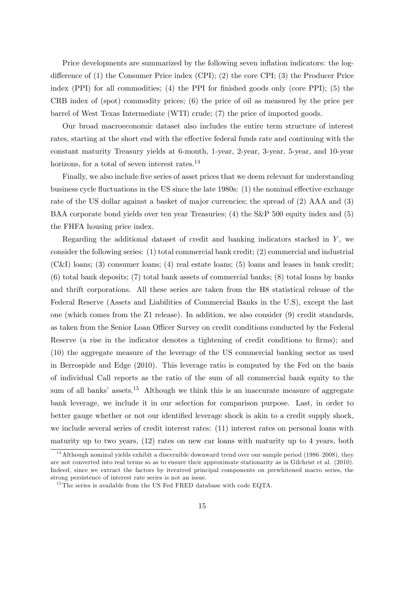Price developments are summarized by the following seven inflation indicators: the logdifference of  $(1)$  the Consumer Price index (CPI);  $(2)$  the core CPI;  $(3)$  the Producer Price index (PPI) for all commodities; (4) the PPI for finished goods only (core PPI); (5) the CRB index of (spot) commodity prices; (6) the price of oil as measured by the price per barrel of West Texas Intermediate (WTI) crude; (7) the price of imported goods.

Our broad macroeconomic dataset also includes the entire term structure of interest rates, starting at the short end with the effective federal funds rate and continuing with the constant maturity Treasury yields at 6-month, 1-year, 2-year, 3-year, 5-year, and 10-year horizons, for a total of seven interest rates.<sup>14</sup>

Finally, we also include five series of asset prices that we deem relevant for understanding business cycle fluctuations in the US since the late  $1980s$ : (1) the nominal effective exchange rate of the US dollar against a basket of major currencies; the spread of (2) AAA and (3) BAA corporate bond yields over ten year Treasuries; (4) the S&P 500 equity index and (5) the FHFA housing price index.

Regarding the additional dataset of credit and banking indicators stacked in  $Y$ , we consider the following series: (1) total commercial bank credit; (2) commercial and industrial (C&I) loans; (3) consumer loans; (4) real estate loans; (5) loans and leases in bank credit; (6) total bank deposits; (7) total bank assets of commercial banks; (8) total loans by banks and thrift corporations. All these series are taken from the H8 statistical release of the Federal Reserve (Assets and Liabilities of Commercial Banks in the U.S), except the last one (which comes from the Z1 release). In addition, we also consider (9) credit standards, as taken from the Senior Loan Officer Survey on credit conditions conducted by the Federal Reserve (a rise in the indicator denotes a tightening of credit conditions to firms); and (10) the aggregate measure of the leverage of the US commercial banking sector as used in Berrospide and Edge (2010). This leverage ratio is computed by the Fed on the basis of individual Call reports as the ratio of the sum of all commercial bank equity to the sum of all banks' assets.<sup>15</sup> Although we think this is an inaccurate measure of aggregate bank leverage, we include it in our selection for comparison purpose. Last, in order to better gauge whether or not our identified leverage shock is akin to a credit supply shock, we include several series of credit interest rates: (11) interest rates on personal loans with maturity up to two years, (12) rates on new car loans with maturity up to 4 years, both

<sup>&</sup>lt;sup>14</sup>Although nominal yields exhibit a discernible downward trend over our sample period (1986–2008), they are not converted into real terms so as to ensure their approximate stationarity as in Gilchrist et al. (2010). Indeed, since we extract the factors by iteratred principal components on prewhitened macro series, the strong persistence of interest rate series is not an issue.

<sup>&</sup>lt;sup>15</sup>The series is available from the US Fed FRED database with code EQTA.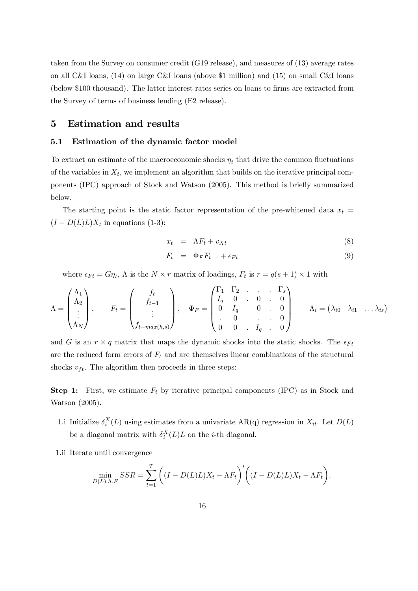taken from the Survey on consumer credit (G19 release), and measures of (13) average rates on all C&I loans, (14) on large C&I loans (above \$1 million) and (15) on small C&I loans (below \$100 thousand). The latter interest rates series on loans to firms are extracted from the Survey of terms of business lending (E2 release).

## 5 Estimation and results

#### 5.1 Estimation of the dynamic factor model

To extract an estimate of the macroeconomic shocks  $\eta_t$  that drive the common fluctuations of the variables in  $X_t$ , we implement an algorithm that builds on the iterative principal components (IPC) approach of Stock and Watson (2005). This method is briefly summarized below.

The starting point is the static factor representation of the pre-whitened data  $x_t =$  $(I - D(L)L)X_t$  in equations (1-3):

$$
x_t = \Lambda F_t + v_{Xt} \tag{8}
$$

$$
F_t = \Phi_F F_{t-1} + \epsilon_{Ft} \tag{9}
$$

where  $\epsilon_{Ft} = G\eta_t$ ,  $\Lambda$  is the  $N \times r$  matrix of loadings,  $F_t$  is  $r = q(s + 1) \times 1$  with

$$
\Lambda = \begin{pmatrix} \Lambda_1 \\ \Lambda_2 \\ \vdots \\ \Lambda_N \end{pmatrix}, \qquad F_t = \begin{pmatrix} f_t \\ f_{t-1} \\ \vdots \\ f_{t-max(h,s)} \end{pmatrix}, \quad \Phi_F = \begin{pmatrix} \Gamma_1 & \Gamma_2 & . & . & \Gamma_s \\ I_q & 0 & . & 0 & . & 0 \\ 0 & I_q & 0 & . & 0 & 0 \\ . & 0 & . & . & 0 & 0 \\ 0 & 0 & . & I_q & . & 0 \end{pmatrix} \qquad \Lambda_i = (\lambda_{i0} \ \lambda_{i1} \ \ldots \lambda_{is})
$$

and G is an  $r \times q$  matrix that maps the dynamic shocks into the static shocks. The  $\epsilon_{Ft}$ are the reduced form errors of  $F_t$  and are themselves linear combinations of the structural shocks  $v_{ft}$ . The algorithm then proceeds in three steps:

**Step 1:** First, we estimate  $F_t$  by iterative principal components (IPC) as in Stock and Watson (2005).

- 1.i Initialize  $\delta_i^X(L)$  using estimates from a univariate AR(q) regression in  $X_{it}$ . Let  $D(L)$ be a diagonal matrix with  $\delta_i^X(L)L$  on the *i*-th diagonal.
- 1.ii Iterate until convergence

$$
\min_{D(L),\Lambda,F}SSR = \sum_{t=1}^{T} \left( (I - D(L)L)X_t - \Lambda F_t \right)' \left( (I - D(L)L)X_t - \Lambda F_t \right).
$$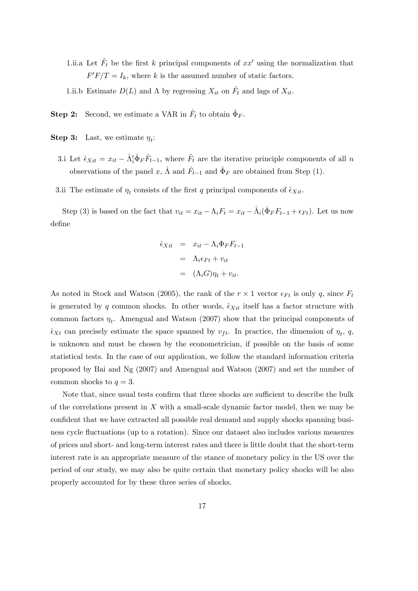- 1.ii.a Let  $\hat{F}_t$  be the first k principal components of  $xx'$  using the normalization that  $F'F/T = I_k$ , where k is the assumed number of static factors.
- 1.ii.b Estimate  $D(L)$  and  $\Lambda$  by regressing  $X_{it}$  on  $\hat{F}_t$  and lags of  $X_{it}$ .
- **Step 2:** Second, we estimate a VAR in  $\hat{F}_t$  to obtain  $\hat{\Phi}_F$ .
- **Step 3:** Last, we estimate  $\eta_t$ :
	- 3.i Let  $\hat{\epsilon}_{Xit} = x_{it} \hat{\Lambda}'_i \hat{\Phi}_F \hat{F}_{t-1}$ , where  $\hat{F}_t$  are the iterative principle components of all n observations of the panel x,  $\hat{\Lambda}$  and  $\hat{F}_{t-1}$  and  $\hat{\Phi}_F$  are obtained from Step (1).
- 3.ii The estimate of  $\eta_t$  consists of the first q principal components of  $\hat{\epsilon}_{Xit}$ .

Step (3) is based on the fact that  $v_{it} = x_{it} - \Lambda_i F_t = x_{it} - \hat{\Lambda}_i(\hat{\Phi}_F F_{t-1} + \epsilon_{Ft})$ . Let us now deÖne

$$
\hat{\epsilon}_{Xit} = x_{it} - \Lambda_i \Phi_F F_{t-1}
$$

$$
= \Lambda_i \epsilon_{Ft} + v_{it}
$$

$$
= (\Lambda_i G) \eta_t + v_{it}.
$$

As noted in Stock and Watson (2005), the rank of the  $r \times 1$  vector  $\epsilon_{Ft}$  is only q, since  $F_t$ is generated by q common shocks. In other words,  $\hat{\epsilon}_{Xit}$  itself has a factor structure with common factors  $\eta_t$ . Amengual and Watson (2007) show that the principal components of  $\hat{\epsilon}_{Xt}$  can precisely estimate the space spanned by  $v_{ft}$ . In practice, the dimension of  $\eta_t$ , q, is unknown and must be chosen by the econometrician, if possible on the basis of some statistical tests. In the case of our application, we follow the standard information criteria proposed by Bai and Ng (2007) and Amengual and Watson (2007) and set the number of common shocks to  $q = 3$ .

Note that, since usual tests confirm that three shocks are sufficient to describe the bulk of the correlations present in  $X$  with a small-scale dynamic factor model, then we may be confident that we have extracted all possible real demand and supply shocks spanning business cycle áuctuations (up to a rotation). Since our dataset also includes various measures of prices and short- and long-term interest rates and there is little doubt that the short-term interest rate is an appropriate measure of the stance of monetary policy in the US over the period of our study, we may also be quite certain that monetary policy shocks will be also properly accounted for by these three series of shocks.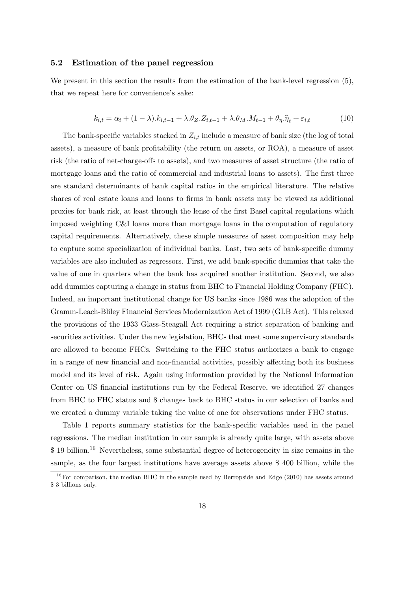#### 5.2 Estimation of the panel regression

We present in this section the results from the estimation of the bank-level regression  $(5)$ , that we repeat here for convenience's sake:

$$
k_{i,t} = \alpha_i + (1 - \lambda).k_{i,t-1} + \lambda.\theta_Z.Z_{i,t-1} + \lambda.\theta_M.M_{t-1} + \theta_\eta.\hat{\eta}_t + \varepsilon_{i,t}
$$
(10)

The bank-specific variables stacked in  $Z_{i,t}$  include a measure of bank size (the log of total assets), a measure of bank profitability (the return on assets, or ROA), a measure of asset risk (the ratio of net-charge-offs to assets), and two measures of asset structure (the ratio of mortgage loans and the ratio of commercial and industrial loans to assets). The first three are standard determinants of bank capital ratios in the empirical literature. The relative shares of real estate loans and loans to Örms in bank assets may be viewed as additional proxies for bank risk, at least through the lense of the Örst Basel capital regulations which imposed weighting C&I loans more than mortgage loans in the computation of regulatory capital requirements. Alternatively, these simple measures of asset composition may help to capture some specialization of individual banks. Last, two sets of bank-specific dummy variables are also included as regressors. First, we add bank-specific dummies that take the value of one in quarters when the bank has acquired another institution. Second, we also add dummies capturing a change in status from BHC to Financial Holding Company (FHC). Indeed, an important institutional change for US banks since 1986 was the adoption of the Gramm-Leach-Bliley Financial Services Modernization Act of 1999 (GLB Act). This relaxed the provisions of the 1933 Glass-Steagall Act requiring a strict separation of banking and securities activities. Under the new legislation, BHCs that meet some supervisory standards are allowed to become FHCs. Switching to the FHC status authorizes a bank to engage in a range of new financial and non-financial activities, possibly affecting both its business model and its level of risk. Again using information provided by the National Information Center on US financial institutions run by the Federal Reserve, we identified 27 changes from BHC to FHC status and 8 changes back to BHC status in our selection of banks and we created a dummy variable taking the value of one for observations under FHC status.

Table 1 reports summary statistics for the bank-specific variables used in the panel regressions. The median institution in our sample is already quite large, with assets above  $$ 19$  billion.<sup>16</sup> Nevertheless, some substantial degree of heterogeneity in size remains in the sample, as the four largest institutions have average assets above \$ 400 billion, while the

<sup>&</sup>lt;sup>16</sup>For comparison, the median BHC in the sample used by Berropside and Edge (2010) has assets around \$ 3 billions only.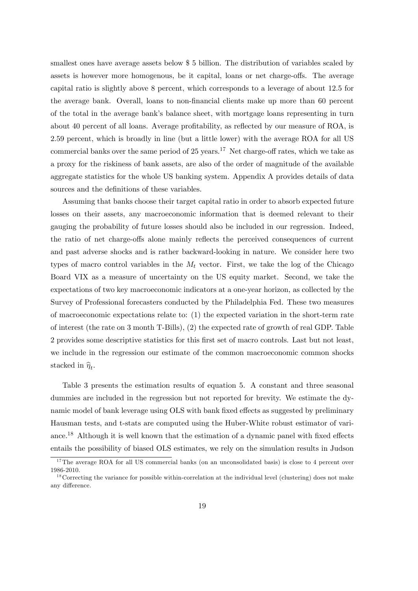smallest ones have average assets below \$ 5 billion. The distribution of variables scaled by assets is however more homogenous, be it capital, loans or net charge-offs. The average capital ratio is slightly above 8 percent, which corresponds to a leverage of about 12.5 for the average bank. Overall, loans to non-financial clients make up more than 60 percent of the total in the average bankís balance sheet, with mortgage loans representing in turn about 40 percent of all loans. Average profitability, as reflected by our measure of ROA, is 2.59 percent, which is broadly in line (but a little lower) with the average ROA for all US commercial banks over the same period of 25 years.<sup>17</sup> Net charge-off rates, which we take as a proxy for the riskiness of bank assets, are also of the order of magnitude of the available aggregate statistics for the whole US banking system. Appendix A provides details of data sources and the definitions of these variables.

Assuming that banks choose their target capital ratio in order to absorb expected future losses on their assets, any macroeconomic information that is deemed relevant to their gauging the probability of future losses should also be included in our regression. Indeed, the ratio of net charge-offs alone mainly reflects the perceived consequences of current and past adverse shocks and is rather backward-looking in nature. We consider here two types of macro control variables in the  $M_t$  vector. First, we take the log of the Chicago Board VIX as a measure of uncertainty on the US equity market. Second, we take the expectations of two key macroeconomic indicators at a one-year horizon, as collected by the Survey of Professional forecasters conducted by the Philadelphia Fed. These two measures of macroeconomic expectations relate to: (1) the expected variation in the short-term rate of interest (the rate on 3 month T-Bills), (2) the expected rate of growth of real GDP. Table 2 provides some descriptive statistics for this first set of macro controls. Last but not least, we include in the regression our estimate of the common macroeconomic common shocks stacked in  $\hat{\eta}_t$ .

Table 3 presents the estimation results of equation 5. A constant and three seasonal dummies are included in the regression but not reported for brevity. We estimate the dynamic model of bank leverage using OLS with bank fixed effects as suggested by preliminary Hausman tests, and t-stats are computed using the Huber-White robust estimator of variance.<sup>18</sup> Although it is well known that the estimation of a dynamic panel with fixed effects entails the possibility of biased OLS estimates, we rely on the simulation results in Judson

<sup>&</sup>lt;sup>17</sup>The average ROA for all US commercial banks (on an unconsolidated basis) is close to 4 percent over 1986-2010.

<sup>&</sup>lt;sup>18</sup>Correcting the variance for possible within-correlation at the individual level (clustering) does not make any difference.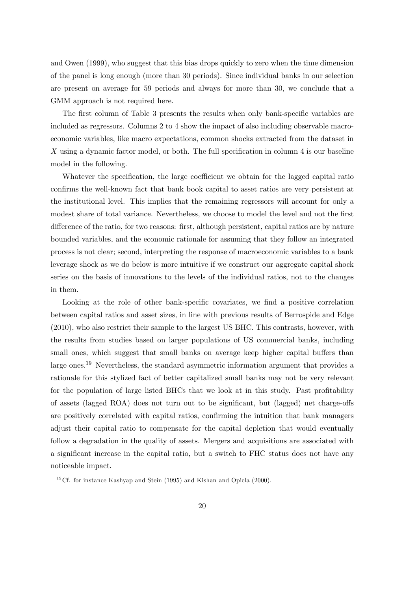and Owen (1999), who suggest that this bias drops quickly to zero when the time dimension of the panel is long enough (more than 30 periods). Since individual banks in our selection are present on average for 59 periods and always for more than 30, we conclude that a GMM approach is not required here.

The first column of Table 3 presents the results when only bank-specific variables are included as regressors. Columns 2 to 4 show the impact of also including observable macroeconomic variables, like macro expectations, common shocks extracted from the dataset in X using a dynamic factor model, or both. The full specification in column 4 is our baseline model in the following.

Whatever the specification, the large coefficient we obtain for the lagged capital ratio confirms the well-known fact that bank book capital to asset ratios are very persistent at the institutional level. This implies that the remaining regressors will account for only a modest share of total variance. Nevertheless, we choose to model the level and not the first difference of the ratio, for two reasons: first, although persistent, capital ratios are by nature bounded variables, and the economic rationale for assuming that they follow an integrated process is not clear; second, interpreting the response of macroeconomic variables to a bank leverage shock as we do below is more intuitive if we construct our aggregate capital shock series on the basis of innovations to the levels of the individual ratios, not to the changes in them.

Looking at the role of other bank-specific covariates, we find a positive correlation between capital ratios and asset sizes, in line with previous results of Berrospide and Edge (2010), who also restrict their sample to the largest US BHC. This contrasts, however, with the results from studies based on larger populations of US commercial banks, including small ones, which suggest that small banks on average keep higher capital buffers than large ones.<sup>19</sup> Nevertheless, the standard asymmetric information argument that provides a rationale for this stylized fact of better capitalized small banks may not be very relevant for the population of large listed BHCs that we look at in this study. Past profitability of assets (lagged ROA) does not turn out to be significant, but (lagged) net charge-offs are positively correlated with capital ratios, confirming the intuition that bank managers adjust their capital ratio to compensate for the capital depletion that would eventually follow a degradation in the quality of assets. Mergers and acquisitions are associated with a significant increase in the capital ratio, but a switch to FHC status does not have any noticeable impact.

<sup>&</sup>lt;sup>19</sup>Cf. for instance Kashyap and Stein  $(1995)$  and Kishan and Opiela  $(2000)$ .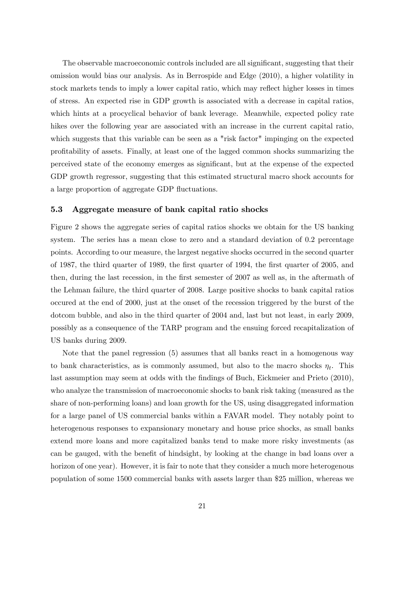The observable macroeconomic controls included are all significant, suggesting that their omission would bias our analysis. As in Berrospide and Edge (2010), a higher volatility in stock markets tends to imply a lower capital ratio, which may reflect higher losses in times of stress. An expected rise in GDP growth is associated with a decrease in capital ratios, which hints at a procyclical behavior of bank leverage. Meanwhile, expected policy rate hikes over the following year are associated with an increase in the current capital ratio, which suggests that this variable can be seen as a "risk factor" impinging on the expected proÖtability of assets. Finally, at least one of the lagged common shocks summarizing the perceived state of the economy emerges as signiÖcant, but at the expense of the expected GDP growth regressor, suggesting that this estimated structural macro shock accounts for a large proportion of aggregate GDP fluctuations.

#### 5.3 Aggregate measure of bank capital ratio shocks

Figure 2 shows the aggregate series of capital ratios shocks we obtain for the US banking system. The series has a mean close to zero and a standard deviation of 0.2 percentage points. According to our measure, the largest negative shocks occurred in the second quarter of 1987, the third quarter of 1989, the first quarter of 1994, the first quarter of 2005, and then, during the last recession, in the first semester of 2007 as well as, in the aftermath of the Lehman failure, the third quarter of 2008. Large positive shocks to bank capital ratios occured at the end of 2000, just at the onset of the recession triggered by the burst of the dotcom bubble, and also in the third quarter of 2004 and, last but not least, in early 2009, possibly as a consequence of the TARP program and the ensuing forced recapitalization of US banks during 2009.

Note that the panel regression (5) assumes that all banks react in a homogenous way to bank characteristics, as is commonly assumed, but also to the macro shocks  $\eta_t$ . This last assumption may seem at odds with the findings of Buch, Eickmeier and Prieto (2010), who analyze the transmission of macroeconomic shocks to bank risk taking (measured as the share of non-performing loans) and loan growth for the US, using disaggregated information for a large panel of US commercial banks within a FAVAR model. They notably point to heterogenous responses to expansionary monetary and house price shocks, as small banks extend more loans and more capitalized banks tend to make more risky investments (as can be gauged, with the benefit of hindsight, by looking at the change in bad loans over a horizon of one year). However, it is fair to note that they consider a much more heterogenous population of some 1500 commercial banks with assets larger than \$25 million, whereas we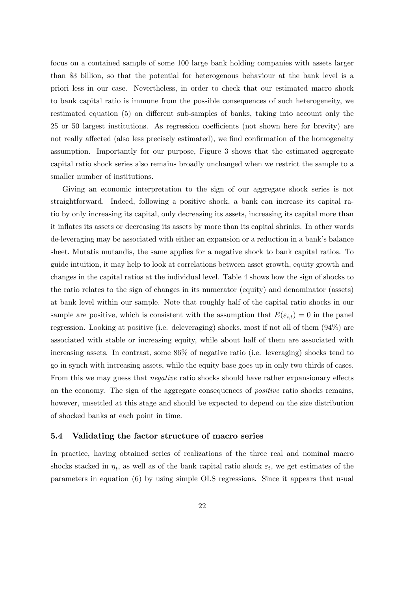focus on a contained sample of some 100 large bank holding companies with assets larger than \$3 billion, so that the potential for heterogenous behaviour at the bank level is a priori less in our case. Nevertheless, in order to check that our estimated macro shock to bank capital ratio is immune from the possible consequences of such heterogeneity, we restimated equation  $(5)$  on different sub-samples of banks, taking into account only the 25 or 50 largest institutions. As regression coefficients (not shown here for brevity) are not really affected (also less precisely estimated), we find confirmation of the homogeneity assumption. Importantly for our purpose, Figure 3 shows that the estimated aggregate capital ratio shock series also remains broadly unchanged when we restrict the sample to a smaller number of institutions.

Giving an economic interpretation to the sign of our aggregate shock series is not straightforward. Indeed, following a positive shock, a bank can increase its capital ratio by only increasing its capital, only decreasing its assets, increasing its capital more than it inflates its assets or decreasing its assets by more than its capital shrinks. In other words de-leveraging may be associated with either an expansion or a reduction in a bank's balance sheet. Mutatis mutandis, the same applies for a negative shock to bank capital ratios. To guide intuition, it may help to look at correlations between asset growth, equity growth and changes in the capital ratios at the individual level. Table 4 shows how the sign of shocks to the ratio relates to the sign of changes in its numerator (equity) and denominator (assets) at bank level within our sample. Note that roughly half of the capital ratio shocks in our sample are positive, which is consistent with the assumption that  $E(\varepsilon_{i,t}) = 0$  in the panel regression. Looking at positive (i.e. deleveraging) shocks, most if not all of them (94%) are associated with stable or increasing equity, while about half of them are associated with increasing assets. In contrast, some 86% of negative ratio (i.e. leveraging) shocks tend to go in synch with increasing assets, while the equity base goes up in only two thirds of cases. From this we may guess that *negative* ratio shocks should have rather expansionary effects on the economy. The sign of the aggregate consequences of positive ratio shocks remains, however, unsettled at this stage and should be expected to depend on the size distribution of shocked banks at each point in time.

#### 5.4 Validating the factor structure of macro series

In practice, having obtained series of realizations of the three real and nominal macro shocks stacked in  $\eta_t$ , as well as of the bank capital ratio shock  $\varepsilon_t$ , we get estimates of the parameters in equation (6) by using simple OLS regressions. Since it appears that usual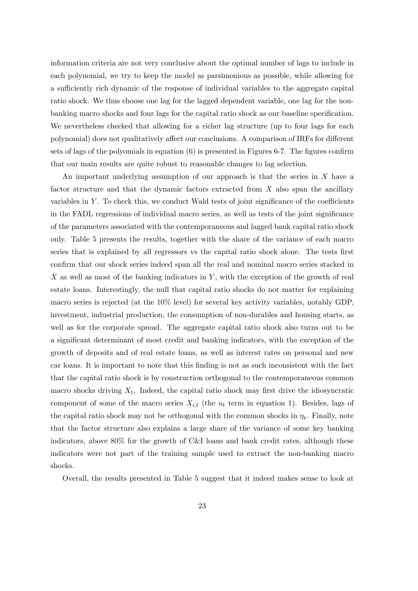information criteria are not very conclusive about the optimal number of lags to include in each polynomial, we try to keep the model as parsimonious as possible, while allowing for a sufficiently rich dynamic of the response of individual variables to the aggregate capital ratio shock. We thus choose one lag for the lagged dependent variable, one lag for the nonbanking macro shocks and four lags for the capital ratio shock as our baseline specification. We nevertheless checked that allowing for a richer lag structure (up to four lags for each polynomial) does not qualitatively affect our conclusions. A comparison of IRFs for different sets of lags of the polyomials in equation  $(6)$  is presented in Figures 6-7. The figures confirm that our main results are quite robust to reasonable changes to lag selection.

An important underlying assumption of our approach is that the series in X have a factor structure and that the dynamic factors extracted from  $X$  also span the ancillary variables in  $Y$ . To check this, we conduct Wald tests of joint significance of the coefficients in the FADL regressions of individual macro series, as well as tests of the joint significance of the parameters associated with the contemporaneous and lagged bank capital ratio shock only. Table 5 presents the results, together with the share of the variance of each macro series that is explained by all regressors vs the capital ratio shock alone. The tests first confirm that our shock series indeed span all the real and nominal macro series stacked in X as well as most of the banking indicators in  $Y$ , with the exception of the growth of real estate loans. Interestingly, the null that capital ratio shocks do not matter for explaining macro series is rejected (at the 10% level) for several key activity variables, notably GDP, investment, industrial production, the consumption of non-durables and housing starts, as well as for the corporate spread. The aggregate capital ratio shock also turns out to be a significant determinant of most credit and banking indicators, with the exception of the growth of deposits and of real estate loans, as well as interest rates on personal and new car loans. It is important to note that this Önding is not as such inconsistent with the fact that the capital ratio shock is by construction orthogonal to the contemporaneous common macro shocks driving  $X_t$ . Indeed, the capital ratio shock may first drive the idiosyncratic component of some of the macro series  $X_{i,t}$  (the  $u_t$  term in equation 1). Besides, lags of the capital ratio shock may not be orthogonal with the common shocks in  $\eta_t$ . Finally, note that the factor structure also explains a large share of the variance of some key banking indicators, above 80% for the growth of C&I loans and bank credit rates, although these indicators were not part of the training sample used to extract the non-banking macro shocks.

Overall, the results presented in Table 5 suggest that it indeed makes sense to look at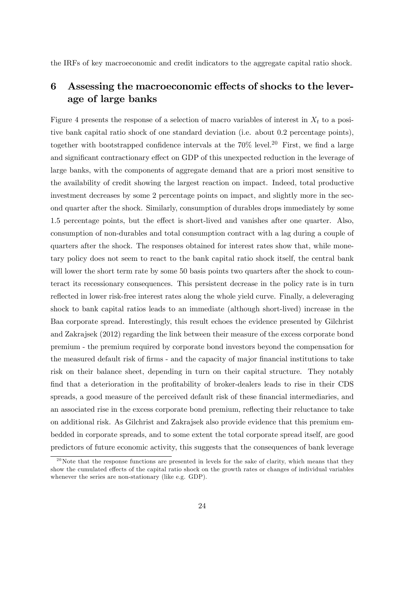the IRFs of key macroeconomic and credit indicators to the aggregate capital ratio shock.

## 6 Assessing the macroeconomic effects of shocks to the leverage of large banks

Figure 4 presents the response of a selection of macro variables of interest in  $X_t$  to a positive bank capital ratio shock of one standard deviation (i.e. about 0.2 percentage points), together with bootstrapped confidence intervals at the  $70\%$  level.<sup>20</sup> First, we find a large and significant contractionary effect on GDP of this unexpected reduction in the leverage of large banks, with the components of aggregate demand that are a priori most sensitive to the availability of credit showing the largest reaction on impact. Indeed, total productive investment decreases by some 2 percentage points on impact, and slightly more in the second quarter after the shock. Similarly, consumption of durables drops immediately by some 1.5 percentage points, but the effect is short-lived and vanishes after one quarter. Also, consumption of non-durables and total consumption contract with a lag during a couple of quarters after the shock. The responses obtained for interest rates show that, while monetary policy does not seem to react to the bank capital ratio shock itself, the central bank will lower the short term rate by some 50 basis points two quarters after the shock to counteract its recessionary consequences. This persistent decrease in the policy rate is in turn reflected in lower risk-free interest rates along the whole yield curve. Finally, a deleveraging shock to bank capital ratios leads to an immediate (although short-lived) increase in the Baa corporate spread. Interestingly, this result echoes the evidence presented by Gilchrist and Zakrajsek (2012) regarding the link between their measure of the excess corporate bond premium - the premium required by corporate bond investors beyond the compensation for the measured default risk of firms - and the capacity of major financial institutions to take risk on their balance sheet, depending in turn on their capital structure. They notably find that a deterioration in the profitability of broker-dealers leads to rise in their CDS spreads, a good measure of the perceived default risk of these financial intermediaries, and an associated rise in the excess corporate bond premium, reflecting their reluctance to take on additional risk. As Gilchrist and Zakrajsek also provide evidence that this premium embedded in corporate spreads, and to some extent the total corporate spread itself, are good predictors of future economic activity, this suggests that the consequences of bank leverage

 $^{20}$ Note that the response functions are presented in levels for the sake of clarity, which means that they show the cumulated effects of the capital ratio shock on the growth rates or changes of individual variables whenever the series are non-stationary (like e.g. GDP).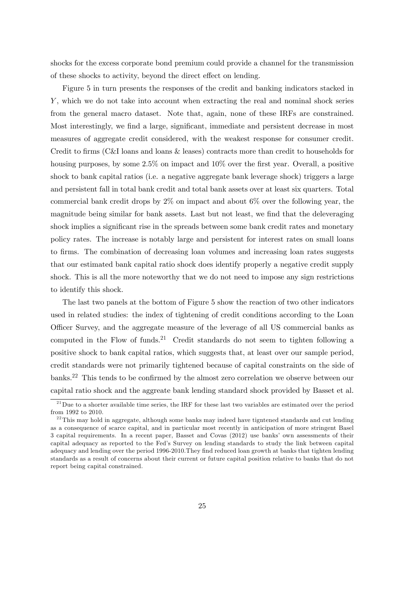shocks for the excess corporate bond premium could provide a channel for the transmission of these shocks to activity, beyond the direct effect on lending.

Figure 5 in turn presents the responses of the credit and banking indicators stacked in Y, which we do not take into account when extracting the real and nominal shock series from the general macro dataset. Note that, again, none of these IRFs are constrained. Most interestingly, we find a large, significant, immediate and persistent decrease in most measures of aggregate credit considered, with the weakest response for consumer credit. Credit to firms (C&I loans and loans & leases) contracts more than credit to households for housing purposes, by some  $2.5\%$  on impact and  $10\%$  over the first year. Overall, a positive shock to bank capital ratios (i.e. a negative aggregate bank leverage shock) triggers a large and persistent fall in total bank credit and total bank assets over at least six quarters. Total commercial bank credit drops by 2% on impact and about 6% over the following year, the magnitude being similar for bank assets. Last but not least, we find that the deleveraging shock implies a significant rise in the spreads between some bank credit rates and monetary policy rates. The increase is notably large and persistent for interest rates on small loans to Örms. The combination of decreasing loan volumes and increasing loan rates suggests that our estimated bank capital ratio shock does identify properly a negative credit supply shock. This is all the more noteworthy that we do not need to impose any sign restrictions to identify this shock.

The last two panels at the bottom of Figure 5 show the reaction of two other indicators used in related studies: the index of tightening of credit conditions according to the Loan Officer Survey, and the aggregate measure of the leverage of all US commercial banks as computed in the Flow of funds.<sup>21</sup> Credit standards do not seem to tighten following a positive shock to bank capital ratios, which suggests that, at least over our sample period, credit standards were not primarily tightened because of capital constraints on the side of banks.<sup>22</sup> This tends to be confirmed by the almost zero correlation we observe between our capital ratio shock and the aggreate bank lending standard shock provided by Basset et al.

 $^{21}$ Due to a shorter available time series, the IRF for these last two variables are estimated over the period from 1992 to 2010.

 $^{22}$ This may hold in aggregate, although some banks may indeed have tigntened standards and cut lending as a consequence of scarce capital, and in particular most recently in anticipation of more stringent Basel 3 capital requirements. In a recent paper, Basset and Covas (2012) use banks' own assessments of their capital adequacy as reported to the Fedís Survey on lending standards to study the link between capital adequacy and lending over the period 1996-2010. They find reduced loan growth at banks that tighten lending standards as a result of concerns about their current or future capital position relative to banks that do not report being capital constrained.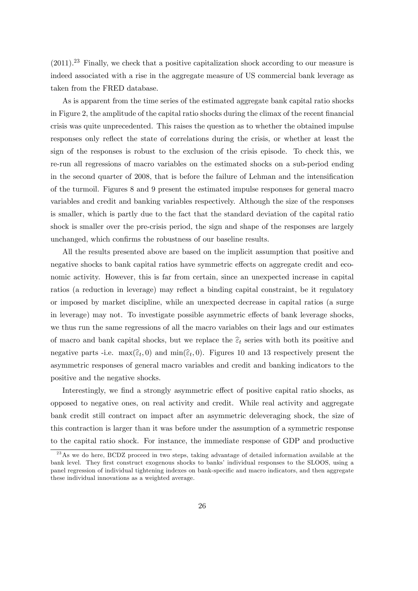$(2011).^{23}$  Finally, we check that a positive capitalization shock according to our measure is indeed associated with a rise in the aggregate measure of US commercial bank leverage as taken from the FRED database.

As is apparent from the time series of the estimated aggregate bank capital ratio shocks in Figure 2, the amplitude of the capital ratio shocks during the climax of the recent financial crisis was quite unprecedented. This raises the question as to whether the obtained impulse responses only reflect the state of correlations during the crisis, or whether at least the sign of the responses is robust to the exclusion of the crisis episode. To check this, we re-run all regressions of macro variables on the estimated shocks on a sub-period ending in the second quarter of 2008, that is before the failure of Lehman and the intensification of the turmoil. Figures 8 and 9 present the estimated impulse responses for general macro variables and credit and banking variables respectively. Although the size of the responses is smaller, which is partly due to the fact that the standard deviation of the capital ratio shock is smaller over the pre-crisis period, the sign and shape of the responses are largely unchanged, which confirms the robustness of our baseline results.

All the results presented above are based on the implicit assumption that positive and negative shocks to bank capital ratios have symmetric effects on aggregate credit and economic activity. However, this is far from certain, since an unexpected increase in capital ratios (a reduction in leverage) may reflect a binding capital constraint, be it regulatory or imposed by market discipline, while an unexpected decrease in capital ratios (a surge in leverage) may not. To investigate possible asymmetric effects of bank leverage shocks, we thus run the same regressions of all the macro variables on their lags and our estimates of macro and bank capital shocks, but we replace the  $\hat{\epsilon}_t$  series with both its positive and negative parts -i.e.  $\max(\widehat{\epsilon}_t, 0)$  and  $\min(\widehat{\epsilon}_t, 0)$ . Figures 10 and 13 respectively present the asymmetric responses of general macro variables and credit and banking indicators to the positive and the negative shocks.

Interestingly, we find a strongly asymmetric effect of positive capital ratio shocks, as opposed to negative ones, on real activity and credit. While real activity and aggregate bank credit still contract on impact after an asymmetric deleveraging shock, the size of this contraction is larger than it was before under the assumption of a symmetric response to the capital ratio shock. For instance, the immediate response of GDP and productive

<sup>&</sup>lt;sup>23</sup>As we do here, BCDZ proceed in two steps, taking advantage of detailed information available at the bank level. They first construct exogenous shocks to banks' individual responses to the SLOOS, using a panel regression of individual tightening indexes on bank-specific and macro indicators, and then aggregate these individual innovations as a weighted average.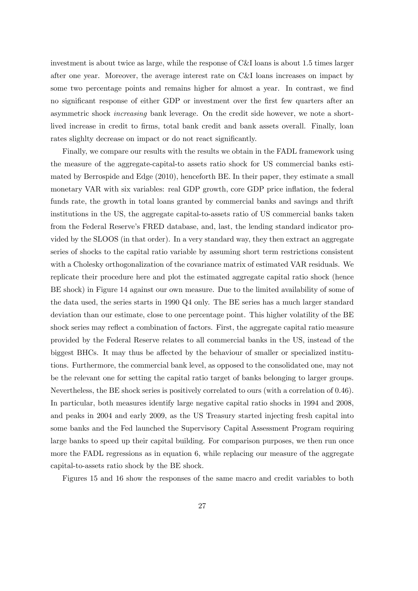investment is about twice as large, while the response of C&I loans is about 1.5 times larger after one year. Moreover, the average interest rate on C&I loans increases on impact by some two percentage points and remains higher for almost a year. In contrast, we find no significant response of either GDP or investment over the first few quarters after an asymmetric shock increasing bank leverage. On the credit side however, we note a shortlived increase in credit to firms, total bank credit and bank assets overall. Finally, loan rates slighlty decrease on impact or do not react significantly.

Finally, we compare our results with the results we obtain in the FADL framework using the measure of the aggregate-capital-to assets ratio shock for US commercial banks estimated by Berrospide and Edge (2010), henceforth BE. In their paper, they estimate a small monetary VAR with six variables: real GDP growth, core GDP price inflation, the federal funds rate, the growth in total loans granted by commercial banks and savings and thrift institutions in the US, the aggregate capital-to-assets ratio of US commercial banks taken from the Federal Reserve's FRED database, and, last, the lending standard indicator provided by the SLOOS (in that order). In a very standard way, they then extract an aggregate series of shocks to the capital ratio variable by assuming short term restrictions consistent with a Cholesky orthogonalization of the covariance matrix of estimated VAR residuals. We replicate their procedure here and plot the estimated aggregate capital ratio shock (hence BE shock) in Figure 14 against our own measure. Due to the limited availability of some of the data used, the series starts in 1990 Q4 only. The BE series has a much larger standard deviation than our estimate, close to one percentage point. This higher volatility of the BE shock series may reflect a combination of factors. First, the aggregate capital ratio measure provided by the Federal Reserve relates to all commercial banks in the US, instead of the biggest BHCs. It may thus be affected by the behaviour of smaller or specialized institutions. Furthermore, the commercial bank level, as opposed to the consolidated one, may not be the relevant one for setting the capital ratio target of banks belonging to larger groups. Nevertheless, the BE shock series is positively correlated to ours (with a correlation of 0.46). In particular, both measures identify large negative capital ratio shocks in 1994 and 2008, and peaks in 2004 and early 2009, as the US Treasury started injecting fresh capital into some banks and the Fed launched the Supervisory Capital Assessment Program requiring large banks to speed up their capital building. For comparison purposes, we then run once more the FADL regressions as in equation 6, while replacing our measure of the aggregate capital-to-assets ratio shock by the BE shock.

Figures 15 and 16 show the responses of the same macro and credit variables to both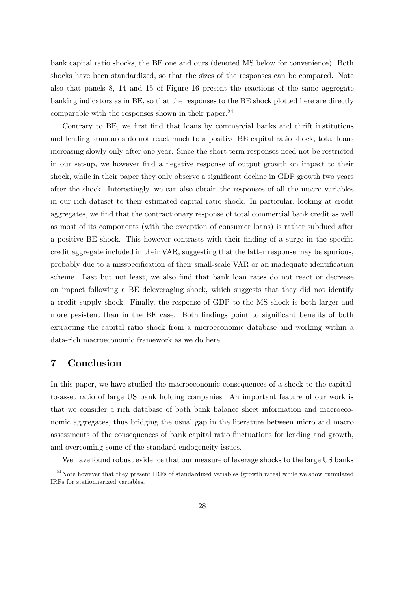bank capital ratio shocks, the BE one and ours (denoted MS below for convenience). Both shocks have been standardized, so that the sizes of the responses can be compared. Note also that panels 8, 14 and 15 of Figure 16 present the reactions of the same aggregate banking indicators as in BE, so that the responses to the BE shock plotted here are directly comparable with the responses shown in their paper.<sup>24</sup>

Contrary to BE, we first find that loans by commercial banks and thrift institutions and lending standards do not react much to a positive BE capital ratio shock, total loans increasing slowly only after one year. Since the short term responses need not be restricted in our set-up, we however find a negative response of output growth on impact to their shock, while in their paper they only observe a significant decline in GDP growth two years after the shock. Interestingly, we can also obtain the responses of all the macro variables in our rich dataset to their estimated capital ratio shock. In particular, looking at credit aggregates, we find that the contractionary response of total commercial bank credit as well as most of its components (with the exception of consumer loans) is rather subdued after a positive BE shock. This however contrasts with their finding of a surge in the specific credit aggregate included in their VAR, suggesting that the latter response may be spurious, probably due to a misspecification of their small-scale VAR or an inadequate identification scheme. Last but not least, we also find that bank loan rates do not react or decrease on impact following a BE deleveraging shock, which suggests that they did not identify a credit supply shock. Finally, the response of GDP to the MS shock is both larger and more pesistent than in the BE case. Both findings point to significant benefits of both extracting the capital ratio shock from a microeconomic database and working within a data-rich macroeconomic framework as we do here.

## 7 Conclusion

In this paper, we have studied the macroeconomic consequences of a shock to the capitalto-asset ratio of large US bank holding companies. An important feature of our work is that we consider a rich database of both bank balance sheet information and macroeconomic aggregates, thus bridging the usual gap in the literature between micro and macro assessments of the consequences of bank capital ratio fluctuations for lending and growth, and overcoming some of the standard endogeneity issues.

We have found robust evidence that our measure of leverage shocks to the large US banks

<sup>&</sup>lt;sup>24</sup>Note however that they present IRFs of standardized variables (growth rates) while we show cumulated IRFs for stationnarized variables.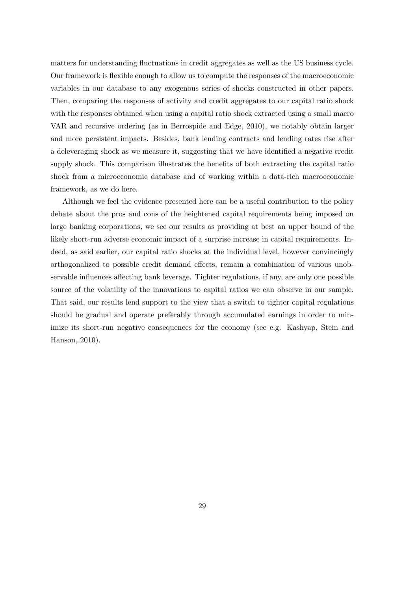matters for understanding fluctuations in credit aggregates as well as the US business cycle. Our framework is áexible enough to allow us to compute the responses of the macroeconomic variables in our database to any exogenous series of shocks constructed in other papers. Then, comparing the responses of activity and credit aggregates to our capital ratio shock with the responses obtained when using a capital ratio shock extracted using a small macro VAR and recursive ordering (as in Berrospide and Edge, 2010), we notably obtain larger and more persistent impacts. Besides, bank lending contracts and lending rates rise after a deleveraging shock as we measure it, suggesting that we have identified a negative credit supply shock. This comparison illustrates the benefits of both extracting the capital ratio shock from a microeconomic database and of working within a data-rich macroeconomic framework, as we do here.

Although we feel the evidence presented here can be a useful contribution to the policy debate about the pros and cons of the heightened capital requirements being imposed on large banking corporations, we see our results as providing at best an upper bound of the likely short-run adverse economic impact of a surprise increase in capital requirements. Indeed, as said earlier, our capital ratio shocks at the individual level, however convincingly orthogonalized to possible credit demand effects, remain a combination of various unobservable influences affecting bank leverage. Tighter regulations, if any, are only one possible source of the volatility of the innovations to capital ratios we can observe in our sample. That said, our results lend support to the view that a switch to tighter capital regulations should be gradual and operate preferably through accumulated earnings in order to minimize its short-run negative consequences for the economy (see e.g. Kashyap, Stein and Hanson, 2010).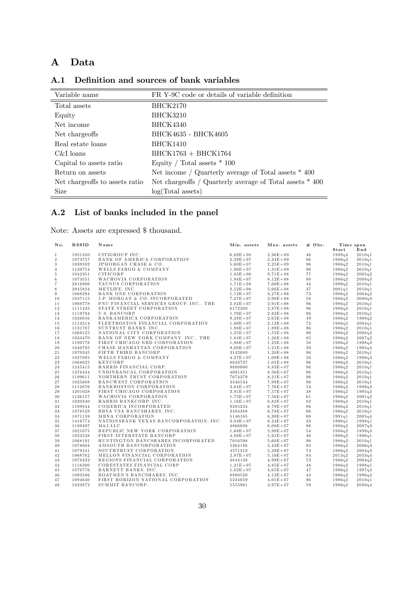# A Data

| A.1 Definition and sources of bank variables |  |  |  |
|----------------------------------------------|--|--|--|
|                                              |  |  |  |

| Variable name                  | FR Y-9C code or details of variable definition             |
|--------------------------------|------------------------------------------------------------|
| Total assets                   | <b>BHCK2170</b>                                            |
| Equity                         | <b>BHCK3210</b>                                            |
| Net income                     | <b>BHCK4340</b>                                            |
| Net chargeoffs                 | BHCK4635 - BHCK4605                                        |
| Real estate loans              | <b>BHCK1410</b>                                            |
| C&I loans                      | $BHCK1763 + BHCK1764$                                      |
| Capital to assets ratio        | Equity / Total assets $*$ 100                              |
| Return on assets               | Net income / Quarterly average of Total assets $*$ 400     |
| Net chargeoffs to assets ratio | Net chargeoffs / Quarterly average of Total assets $*$ 400 |
| <b>Size</b>                    | log(Total assets)                                          |

# A.2 List of banks included in the panel

Note: Assets are expressed \$ thousand.

| No.            | <b>RSSID</b> | Name                                                                                                                                                                                                                                                         | Min. assets  | Max. assets  | $# \;$ Obs. |        | Time span        |
|----------------|--------------|--------------------------------------------------------------------------------------------------------------------------------------------------------------------------------------------------------------------------------------------------------------|--------------|--------------|-------------|--------|------------------|
|                |              |                                                                                                                                                                                                                                                              |              |              |             | Start  | $\mathbf{End}\,$ |
| $\mathbf{1}$   | 1951350      | CITIGROUP INC.                                                                                                                                                                                                                                               | $6.69E + 08$ | $2,36E+09$   | 46          | 1998q4 | 2010q1           |
| $\sqrt{2}$     | 1073757      | CITIGROUP INC.<br>BANK OF AMERICA CORPORATION<br>JPMORGAN CHASE & CO.<br>WELLS FARGO & COMPANY<br>CITICORP<br>WACHOVIA CORPORATION<br>TAUNUS CORPORATION<br>METLIFE. INC.<br>BANK ONE CORPORATION<br>J.P. MORGAN & CO. INCORPORATED<br>J.P. MORGAN & CO. INC | $2,39E+07$   | $2,34E+09$   | 96          | 1986q2 | 2010q1           |
| $\sqrt{3}$     | 1039502      |                                                                                                                                                                                                                                                              | $5.60E + 07$ | $2.25E + 09$ | 96          | 1986q2 | 2010q1           |
| $\overline{4}$ | 1120754      |                                                                                                                                                                                                                                                              | $1,96E+07$   | $1,31E+09$   | 96          | 1986q2 | 2010q1           |
| $\,$ 5         | 1042351      |                                                                                                                                                                                                                                                              | $1,83E+08$   | $9.71E + 08$ | 77          | 1986q2 | 2005q2           |
| $\,6$          | 1073551      |                                                                                                                                                                                                                                                              | $1.94E + 07$ | $8.12E + 08$ | 90          | 1986q2 | 2008q3           |
| $\overline{7}$ | 2816906      |                                                                                                                                                                                                                                                              | $1,71E+08$   | $7,60E+08$   | 44          | 1999q2 | 2010q1           |
| 8              | 2945824      |                                                                                                                                                                                                                                                              | $2,52E+08$   | $5,66E+08$   | 37          | 2001q1 | 2010q1           |
| $\,9$          | 1068294      |                                                                                                                                                                                                                                                              | $1,12E+07$   | $3,27E+08$   | 73          | 1986q2 | 2004q2           |
| 10             | 1037115      |                                                                                                                                                                                                                                                              | $7.27E + 07$ | $2.99E + 08$ | 58          | 1986q2 | 2000q3           |
| 11             | 1069778      | PNC FINANCIAL SERVICES GROUP. INC., THE                                                                                                                                                                                                                      | $2.02E + 07$ | $2.91E + 08$ | 96          | 1986q2 | 2010q1           |
| 12             | 1111435      | STATE STREET CORPORATION                                                                                                                                                                                                                                     | 6172269      | $2,87E+08$   | 96          | 1986q2 | 2010q1           |
| 13             | 1119794      | U.S. BANCORP                                                                                                                                                                                                                                                 | $1,70E+07$   | $2.82E + 08$ | 96          | 1986q2 | 2010q1           |
| 14             | 1026016      | BANKAMERICA CORPORATION                                                                                                                                                                                                                                      | $9.28E + 07$ | $2.65E + 08$ | 49          | 1986q2 | 199892           |
| 15             | 1113514      | FLEETBOSTON FINANCIAL CORPORATION                                                                                                                                                                                                                            | $1.00E + 07$ | $2.12E + 08$ | 72          | 1986q2 | 2004q1           |
| 16             | 1131787      | SUNTRUST BANKS. INC.                                                                                                                                                                                                                                         | $1.88E + 07$ | $1,89E+08$   | 96          | 1986q2 | 2010q1           |
| 17             | 1069125      | NATIONAL CITY CORPORATION                                                                                                                                                                                                                                    | $1.25E + 07$ | $1,55E+08$   | 90          | 1986q2 | 2008q3           |
| $1\,8$         | 1033470      | BANK OF NEW YORK COMPANY. INC THE                                                                                                                                                                                                                            | $1.84E + 07$ | $1,26E+08$   | 85          | 1986q2 | 2007q2           |
| 19             | 1199778      | FIRST CHICAGO NBD CORPORATION                                                                                                                                                                                                                                | $1.86E + 07$ | $1,22E+08$   | $5\,0$      | 1986q2 | 1998q3           |
| 20             | 1040795      | CHASE MANHATTAN CORPORATION                                                                                                                                                                                                                                  | $9.00E + 07$ | $1,21E+08$   | $3\,9$      | 1986q2 | 1995q4           |
| 21             | 1070345      | FIFTH THIRD BANCORP                                                                                                                                                                                                                                          | 3142089      | $1,20E+08$   | 96          | 1986q2 | 2010q1           |
| 22             | 1027095      | WELLS FARGO & COMPANY                                                                                                                                                                                                                                        | $4,27E+07$   | $1,09E+08$   | $5\,0$      | 1986q2 | 1998q3           |
| 23             | 1068025      | <b>KEYCORP</b>                                                                                                                                                                                                                                               | 8633737      | $1.05E + 08$ | 96          | 1986q2 | 2010q1           |
| 24             | 1245415      | HARRIS FINANCIAL CORP.                                                                                                                                                                                                                                       | 9880000      | $8.83E + 07$ | 96          | 1986q2 | 2010q1           |
| 25             | 1378434      | UNIONBANCAL CORPORATION                                                                                                                                                                                                                                      | 4091351      | $8.56E + 07$ | 96          | 1986q2 | 2010q1           |
| 26             | 1199611      |                                                                                                                                                                                                                                                              | 7674379      | $8,21E+07$   | 96          | 1986q2 | 2010q1           |
| 27             | 1025608      |                                                                                                                                                                                                                                                              | 3346544      | $7.99E + 07$ | 96          | 1986q2 | 2010q1           |
| 28             | 1112076      |                                                                                                                                                                                                                                                              | $3.04E + 07$ | $7.76E + 07$ | $5\,4$      | 1986q2 | 1999q3           |
| 29             | 1201028      | FIRST CHICAGO CORPORATION                                                                                                                                                                                                                                    | $3.91E + 07$ | $7.57E + 07$ | 38          | 1986q2 | 1995q3           |
| 30             | 1136157      | WACHOVIA CORPORATION                                                                                                                                                                                                                                         | $1,75E+07$   | $7,56E+07$   | 61          | 1986q2 | 2001q2           |
| 31             | 1020340      | HARRIS BANKCORP. INC.                                                                                                                                                                                                                                        | $1.16E + 07$ | $6.82E + 07$ | 82          | 1989q4 | 2010q1           |
| $3\sqrt{2}$    | 1199844      | COMERICA INCORPORATED                                                                                                                                                                                                                                        | 9285234      | $6.79E + 07$ | 96          | 1986q2 | 2010q1           |
| 33             | 1078529      | BBVA USA BANCSHARES. INC.                                                                                                                                                                                                                                    | 3494388      | $6.78E + 07$ | 96          | 1986q2 | 2010q1           |
| 34             | 1871159      | MBNA CORPORATION                                                                                                                                                                                                                                             | 5146165      | $6.30E + 07$ | 60          | 1991q1 | 2005q4           |
| 35             | 1416774      | NATIONSBANK TEXAS BANCORPORATION. INC.                                                                                                                                                                                                                       | $3.04E + 07$ | $6.24E + 07$ | $3\sqrt{3}$ | 1990q1 | 1998q1           |
| 36             | 1199497      | M&I LLC                                                                                                                                                                                                                                                      | 4866038      | $6.08E + 07$ | 86          | 1986q2 | 2007q3           |
| 37             | 1021075      | REPUBLIC NEW YORK CORPORATION                                                                                                                                                                                                                                | $1.68E + 07$ | $5.99E + 07$ | $5\,4$      | 1986q2 | 1999q3           |
| 38             | 1023538      | FIRST INTERSTATE BANCORP                                                                                                                                                                                                                                     | $4.89E + 07$ | $5.91E + 07$ | 40          | 1986q2 | 1996q1           |
| 39             | 1068191      | HUNTINGTON BANCSHARES INCORPORATED                                                                                                                                                                                                                           | 7016598      | $5.60E + 07$ | 96          | 1986q2 | 2010q1           |
| 40             | 1078604      | AMSOUTH BANCORPORATION                                                                                                                                                                                                                                       | 5264186      | $5,43E+07$   | $8\,2$      | 1986q2 | 2006q3           |
| 41             | 1079441      | SOUTHTRUST CORPORATION                                                                                                                                                                                                                                       | 4571219      | $5.39E + 07$ | 74          | 1986q2 | 2004q3           |
| 42             | 1068762      | MELLON FINANCIAL CORPORATION                                                                                                                                                                                                                                 | $2.87E + 07$ | $5.10E + 07$ | $8\,4$      | 2013q2 | 2033q4           |
| 43             | 1078332      | REGIONS FINANCIAL CORPORATION                                                                                                                                                                                                                                | 3844149      | $4.99E + 07$ | 73          | 1986q2 | 2004q2           |
| 44             | 1116300      | CORESTATES FINANCIAL CORP                                                                                                                                                                                                                                    | $1,21E+07$   | $4,85E+07$   | 48          | 1986q2 | 1998q1           |
| 45             | 1076776      | BARNETT BANKS. INC.                                                                                                                                                                                                                                          | $1.62E + 07$ | $4.65E + 07$ | 47          | 1986q2 | 1997q4           |
| 46             | 1093586      | BOATMEN'S BANCSHARES. INC.                                                                                                                                                                                                                                   | 8890520      | $4.12E + 07$ | 43          | 1986q2 | 1996q4           |
| 47             | 1094640      | FIRST HORIZON NATIONAL CORPORATION                                                                                                                                                                                                                           | 5234059      | $4.01E + 07$ | 96          | 1986q2 | 2010q1           |
| 48             | 1033872      | SUMMIT BANCORP.                                                                                                                                                                                                                                              | 5555961      | $3,97E+07$   | 59          | 1986q2 | 2000q4           |
|                |              |                                                                                                                                                                                                                                                              |              |              |             |        |                  |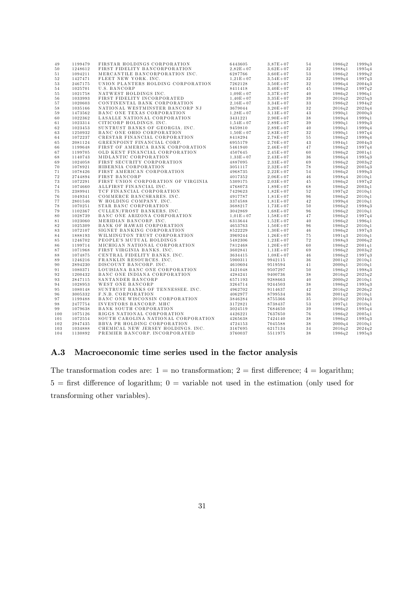| 49  | 1199479            | FIRSTAR HOLDINGS CORPORATION        | 6443605               | $3,87E+07$                 | 54          | 1986q2 | 1999q3 |
|-----|--------------------|-------------------------------------|-----------------------|----------------------------|-------------|--------|--------|
| 50  | 1248612            | FIRST FIDELITY BANCORPORATION       | $2.82E + 07$          | $3.62E + 07$               | $3\sqrt{2}$ | 1988q1 | 1995q4 |
| 51  | 1094211            | MERCANTILE BANCORPORATION INC.      | 6287766               | $3.60E + 07$               | 53          | 1986q2 | 1999q2 |
| 52  | 1427471            | FLEET NEW YORK. INC.                | $1,21E+07$            | $3,54E+07$                 | $3\sqrt{2}$ | 1989q4 | 1997q3 |
| 53  | 2467175            | UNION PLANTERS HOLDING CORPORATION  | 7262128               | $3,50E+07$                 | $3\sqrt{2}$ | 1996q4 | 2004q3 |
| 54  | 1025701            | U.S. BANCORP                        | 8411418               | $3,40E+07$                 | 45          | 1986q2 | 1997q2 |
| 55  | 1021758            | NATWEST HOLDINGS INC.               | $1,09E+07$            | $3,37E+07$                 | 40          | 1986q2 | 1996q1 |
| 56  | 1033993            | FIRST FIDELITY INCORPORATED         | $1,40E+07$            | $3,35E+07$                 | 39          | 2016q2 | 2025q3 |
| 57  | 1020603            | CONTINENTAL BANK CORPORATION        | $2.16E + 07$          | $3.34E + 07$               | 33          | 1986q2 | 1994q2 |
| 58  | 1035166            | NATIONAL WESTMINSTER BANCORP NJ     | 3679044               | $3,20E+07$                 | $3\,2$      | 2016q2 | 2023q4 |
| 59  | 1473562            | BANC ONE TEXAS CORPORATION          | $1,28E+07$            | $3,13E+07$                 | 43          | 1990q1 | 2000q3 |
| 60  | 1022362            | LASALLE NATIONAL CORPORATION        | 3431221               | $2.90E + 07$               | $3\,8$      | 1989q4 | 1999q1 |
| 61  | 1023314            | CITICORP HOLDINGS. INC.             |                       |                            | 39          | 1990q1 |        |
| 62  | 1023453            | SUNTRUST BANKS OF GEORGIA. INC.     | $1,54E+07$<br>9459810 | $2,89E+07$<br>$2.89E + 07$ | 40          | 1990q1 | 1999q3 |
|     |                    |                                     |                       |                            |             |        | 1999q4 |
| 63  | 1250932<br>1072237 | BANC ONE OHIO CORPORATION           | $1,50E+07$            | $2,83E+07$                 | 32          | 1990q1 | 1997q4 |
| 64  |                    | CRESTAR FINANCIAL CORPORATION       | 8418294               | $2,78E+07$                 | $5\,5$      | 1986q2 | 1999q4 |
| 65  | 2081124            | GREENPOINT FINANCIAL CORP.          | 6955179               | $2.70E + 07$               | 43          | 1994q1 | 2004q3 |
| 66  | 1199648            | FIRST OF AMERICA BANK CORPORATION   | 5461940               | $2,46E+07$                 | 47          | 1986q2 | 1997q4 |
| 67  | 1199705            | OLD KENT FINANCIAL CORPORATION      | 4507645               | $2.45E + 07$               | 60          | 1986q2 | 2001q1 |
| 68  | 1140743            | MIDLANTIC CORPORATION               | $1,33E+07$            | $2.43E + 07$               | 36          | 1986q4 | 1995q3 |
| 69  | 1024058            | FIRST SECURITY CORPORATION          | 4887095               | $2,33E+07$                 | 69          | 1986q2 | 2003q2 |
| 70  | 1078921            | HIBERNIA CORPORATION                | 3051117               | $2.32E + 07$               | 78          | 1986q2 | 2005q3 |
| 71  | 1078426            | FIRST AMERICAN CORPORATION          | 4968735               | $2.22E + 07$               | 54          | 1986q2 | 1999q3 |
| 72  | 2744894            | FIRST BANCORP                       | 4017352               | $2,06E+07$                 | 46          | 1998q4 | 2010q1 |
| 73  | 1072291            | FIRST UNION CORPORATION OF VIRGINIA | 5309175               | $2,03E+07$                 | 45          | 1986q2 | 1997q2 |
| 74  | 1074660            | ALLFIRST FINANCIAL INC.             | 4768073               | $1.89E + 07$               | 68          | 1986q2 | 2003q1 |
| 75  | 2389941            | TCF FINANCIAL CORPORATION           | 7429623               | $1.82E + 07$               | $5\,2$      | 1997q2 | 2010q1 |
| 76  | 1049341            | COMMERCE BANCSHARES. INC.           | 4917787               | $1,81E+07$                 | 96          | 1986q2 | 2010q1 |
| 77  | 2801546            | W HOLDING COMPANY. INC.             | 3374588               | $1.81E + 07$               | 42          | 1999q4 | 2010q1 |
| 78  | 1070251            | STAR BANC CORPORATION               | 3688217               | $1.73E + 07$               | 50          | 1986q2 | 1998q3 |
| 79  | 1102367            | CULLEN/FROST BANKERS. INC.          | 3042869               | $1,68E+07$                 | 96          | 1986q2 | 2010q1 |
| 80  | 1028739            | BANC ONE ARIZONA CORPORATION        | $1.01E + 07$          | $1.58E + 07$               | 47          | 1986q2 | 1997q4 |
| 81  | 1023060            | MERIDIAN BANCORP. INC.              | 6313644               | $1.52E + 07$               | 40          | 1986q2 | 1996q1 |
| 82  | 1025309            | BANK OF HAWAII CORPORATION          | 4653763               | $1,50E+07$                 | 96          | 1986q2 | 2010q1 |
| 83  | 1072107            | SIGNET BANKING CORPORATION          | 8522229               | $1,30E+07$                 | 46          | 1986q2 | 1997q3 |
| 84  | 1888193            | WILMINGTON TRUST CORPORATION        | 3969244               | $1.26E + 07$               | 75          | 1991q3 | 2010q1 |
| 85  | 1246702            | PEOPLE'S MUTUAL HOLDINGS            | 5482306               | $1.23E + 07$               | 72          | 1988q3 | 2006q2 |
| 86  | 1199714            | MICHIGAN NATIONAL CORPORATION       | 7812468               | $1,20E+07$                 | 60          | 1986q2 | 2001q1 |
| 87  | 1071968            | FIRST VIRGINIA BANKS. INC.          | 3602841               | $1,13E+07$                 | 69          | 1986q2 | 2003q2 |
| 88  | 1074875            | CENTRAL FIDELITY BANKS. INC.        | 3634415               | $1,08E+07$                 | 46          | 1986q2 | 1997q3 |
| 89  | 1246216            | FRANKLIN RESOURCES. INC.            | 5900311               | 9942115                    | 36          | 2001q2 | 2010q1 |
| 90  | 2894230            | DISCOUNT BANCORP. INC.              | 4610604               | 9519594                    | 41          | 2000q1 | 2010q1 |
| 91  | 1080371            | LOUISIANA BANC ONE CORPORATION      | 3421048               | 9507297                    | 50          | 1986q2 | 1998q3 |
| 92  | 1200432            | BANC ONE INDIANA CORPORATION        | 4284241               | 9400736                    | 38          | 2016q2 | 2025q2 |
| 93  | 2847115            | SANTANDER BANCORP                   | 6571193               | 9288663                    | 40          | 2000q2 | 2010q1 |
| 94  | 1028953            | WEST ONE BANCORP                    | 3264714               | 9244503                    | $3\,8$      | 1986q2 | 1995q3 |
| 95  | 1080148            | SUNTRUST BANKS OF TENNESSEE. INC.   | 4962702               | 9114637                    | 42          | 2016q2 | 2026q2 |
| 96  | 3005332            | F.N.B. CORPORATION                  | 4062977               | 8799534                    | 36          | 2001q2 | 2010q1 |
| 97  | 1199488            | BANC ONE WISCONSIN CORPORATION      | 3846284               | 8755366                    | $3\,5$      | 2016q2 | 2024q3 |
| 98  | 2477754            | INVESTORS BANCORP. MHC              | 3172821               | 8738437                    | 53          | 1997q1 | 2010q1 |
|     | 1079638            | BANK SOUTH CORPORATION              |                       |                            | 39          |        |        |
| 99  |                    |                                     | 3024519               | 7684650                    |             | 1986q2 | 1995q4 |
| 100 | 1075126            | RIGGS NATIONAL CORPORATION          | 4426221               | 7637650                    | $7\,6$      | 1986q2 | 2005q1 |
| 101 | 1072554            | SOUTH CAROLINA NATIONAL CORPORATION | 4265638               | 7424140                    | 38          | 1986q2 | 1995q3 |
| 102 | 2947435            | BBVA PR HOLDING CORPORATION         | 4724153               | 7045588                    | 38          | 2000q4 | 2010q1 |
| 103 | 1034888            | CHEMICAL NEW JERSEY HOLDINGS. INC.  | 3167695               | 6217134                    | 34          | 2016q2 | 2024q2 |
| 104 | 1130892            | PREMIER BANCORP. INCORPORATED       | 3760037               | 5511975                    | 38          | 1986q2 | 1995q3 |

## A.3 Macroeconomic time series used in the factor analysis

The transformation codes are:  $1 =$  no transformation;  $2 =$  first difference;  $4 =$  logarithm;  $5 =$  first difference of logarithm;  $0 =$  variable not used in the estimation (only used for transforming other variables).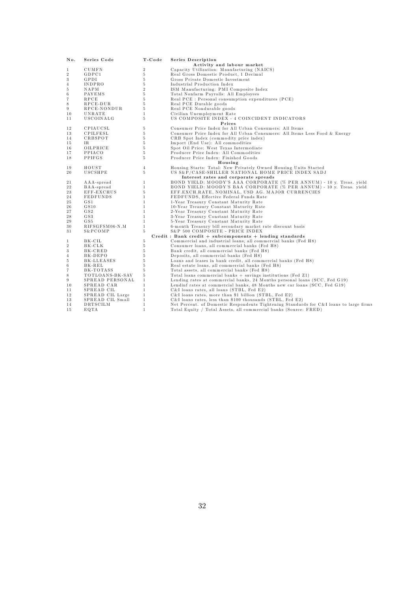| No.               | Series Code      | T-Code         | <b>Series Description</b>                                                              |
|-------------------|------------------|----------------|----------------------------------------------------------------------------------------|
|                   |                  |                | Activity and labour market                                                             |
| 1                 | CUMFN            | $\overline{2}$ | Capacity Utilization: Manufacturing (NAICS)                                            |
| $\overline{2}$    | GDPC1            | 5              | Real Gross Domestic Product, 1 Decimal                                                 |
| 3                 | GPDI             | 5              | Gross Private Domestic Investment                                                      |
| $\overline{4}$    | INDPRO           | 5              | Industrial Production Index                                                            |
| 5                 | NAPM             | $\overline{2}$ | ISM Manufacturing: PMI Composite Index                                                 |
| 6                 | PAYEMS           | 5              | Total Nonfarm Payrolls: All Employees                                                  |
| $\scriptstyle{7}$ | RPCE             | 5              | Real PCE : Personal consumption expenditures (PCE)                                     |
| 8                 | RPCE-DUR         | 5              | Real PCE Durable goods                                                                 |
| $\boldsymbol{9}$  | RPCE-NONDUR      | 5              | Real PCE Nondurable goods                                                              |
| 10                | UNRATE           | $\mathbf{1}$   | Civilian Unemployment Rate                                                             |
| 11                | USCOINALG        | 5              | US COMPOSITE INDEX - 4 COINCIDENT INDICATORS                                           |
|                   |                  |                | Prices                                                                                 |
| 12                | CPIAUCSL         | 5              | Consumer Price Index for All Urban Consumers: All Items                                |
| 13                | CPILFESL         | 5              | Consumer Price Index for All Urban Consumers: All Items Less Food & Energy             |
| 14                | CRBSPOT          | 5              | CRB Spot Index (commodity price index)                                                 |
| 15                | IR.              | 5              | Import (End Use): All commodities                                                      |
| 16                | OILPRICE         | 5              | Spot Oil Price: West Texas Intermediate                                                |
| 17                | PPIACO           | 5              | Producer Price Index: All Commodities                                                  |
| 18                | PPIFGS           | 5              | Producer Price Index: Finished Goods                                                   |
|                   |                  |                | Housing                                                                                |
| 19                | HOUST            | $\overline{4}$ | Housing Starts: Total: New Privately Owned Housing Units Started                       |
| 20                | USCSHPE          | 5              | US S&P/CASE-SHILLER NATIONAL HOME PRICE INDEX SADJ                                     |
|                   |                  |                | Interest rates and corporate spreads                                                   |
|                   |                  | $\mathbf{1}$   | BOND YIELD: MOODY'S AAA CORPORATE (% PER ANNUM) - 10 y. Treas. yield                   |
| 21                | AAA-spread       |                |                                                                                        |
| 22                | BAA-spread       | $\mathbf{1}$   | BOND YIELD: MOODY'S BAA CORPORATE (% PER ANNUM) - 10 y. Treas. yield                   |
| 23                | EFF-EXCHUS       | 5              | EFF.EXCH.RATE, NOMINAL, USD AG. MAJOR CURRENCIES                                       |
| 24                | <b>FEDFUNDS</b>  | $\mathbf{1}$   | FEDFUNDS, Effective Federal Funds Rate                                                 |
| 25                | G S1             | $\mathbf{1}$   | 1-Year Treasury Constant Maturity Rate                                                 |
| 26                | GS10             | $\mathbf{1}$   | 10-Year Treasury Constant Maturity Rate                                                |
| 27                | G S2             | $\mathbf{1}$   | 2-Year Treasury Constant Maturity Rate                                                 |
| 28                | G S3             | $\mathbf{1}$   | 3-Year Treasury Constant Maturity Rate                                                 |
| 29                | G S5             | $\mathbf{1}$   | 5-Year Treasury Constant Maturity Rate                                                 |
| 30                | RIFSGFSM06-N.M   | $\mathbf{1}$   | 6-month Treasury bill secondary market rate discount basis                             |
| 31                | S&PCOMP          | 5              | S&P 500 COMPOSITE - PRICE INDEX                                                        |
|                   |                  |                | $Credit$ : Bank credit + subcomponents + lending standards                             |
| 1                 | BK-CIL           | 5              | Commercial and industrial loans, all commercial banks (Fed H8)                         |
| $\,2$             | BK-CLK           | 5              | Consumer loans, all commercial banks (Fed H8)                                          |
| 3                 | BK-CRED          | 5              | Bank credit, all commercial banks (Fed H8)                                             |
| $\overline{4}$    | BK-DEPO          | 5              | Deposits, all commercial banks (Fed H8)                                                |
| 5                 | BK-LLEASES       | 5              | Loans and leases in bank credit, all commercial banks (Fed H8)                         |
| $\,6$             | BK-REL           | 5              | Real estate loans, all commercial banks (Fed H8)                                       |
| $\scriptstyle{7}$ | BK-TOTASS        | 5              | Total assets, all commercial banks (Fed H8)                                            |
| 8                 | TOTLOANS-BK-SAV  | 5              | Total loans commercial banks $+$ savings institutions (Fed Z1)                         |
| $\boldsymbol{9}$  | SPREAD PERSONAL  | $\mathbf{1}$   | Lending rates at commercial banks, 24 Months personal loans (SCC, Fed G19)             |
| 10                | SPREAD CAR       | $\mathbf{1}$   | Lendinf rates at commercial banks, 48 Months new car loans (SCC, Fed G19)              |
| 11                | SPREAD CIL       | $\mathbf{1}$   | C&I loans rates, all loans (STBL, Fed E2)                                              |
| 12                | SPREAD CIL Large | $\mathbf{1}$   | C&I loans rates, more than \$1 billion (STBL, Fed E2)                                  |
| 13                | SPREAD CIL Small | $\mathbf{1}$   | C&I loans rates, less than \$100 thousands (STBL, Fed E2)                              |
| 14                | DRTSCILM         | $\mathbf{1}$   | Net Percent. of Domestic Respondents Tightening Standards for C&I loans to large firms |
| 15                | EQTA             | $\mathbf{1}$   | Total Equity / Total Assets, all commercial banks (Source: FRED)                       |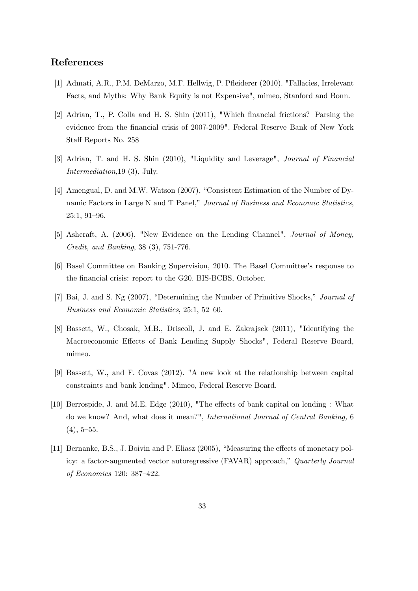## References

- [1] Admati, A.R., P.M. DeMarzo, M.F. Hellwig, P. Páeiderer (2010). "Fallacies, Irrelevant Facts, and Myths: Why Bank Equity is not Expensive", mimeo, Stanford and Bonn.
- [2] Adrian, T., P. Colla and H. S. Shin (2011), "Which Önancial frictions? Parsing the evidence from the financial crisis of 2007-2009". Federal Reserve Bank of New York Staff Reports No. 258
- [3] Adrian, T. and H. S. Shin (2010), "Liquidity and Leverage", Journal of Financial Intermediation,19 (3), July.
- [4] Amengual, D. and M.W. Watson (2007), "Consistent Estimation of the Number of Dynamic Factors in Large N and T Panel," Journal of Business and Economic Statistics, 25:1, 91-96.
- [5] Ashcraft, A. (2006), "New Evidence on the Lending Channel", Journal of Money, Credit, and Banking, 38 (3), 751-776.
- [6] Basel Committee on Banking Supervision, 2010. The Basel Committeeís response to the financial crisis: report to the G20. BIS-BCBS, October.
- [7] Bai, J. and S. Ng (2007), "Determining the Number of Primitive Shocks," Journal of Business and Economic Statistics, 25:1, 52-60.
- [8] Bassett, W., Chosak, M.B., Driscoll, J. and E. Zakrajsek (2011), "Identifying the Macroeconomic Effects of Bank Lending Supply Shocks", Federal Reserve Board, mimeo.
- [9] Bassett, W., and F. Covas (2012). "A new look at the relationship between capital constraints and bank lending". Mimeo, Federal Reserve Board.
- [10] Berrospide, J. and M.E. Edge  $(2010)$ , "The effects of bank capital on lending : What do we know? And, what does it mean?", International Journal of Central Banking, 6  $(4), 5-55.$
- [11] Bernanke, B.S., J. Boivin and P. Eliasz (2005), "Measuring the effects of monetary policy: a factor-augmented vector autoregressive (FAVAR) approach," Quarterly Journal of Economics 120: 387-422.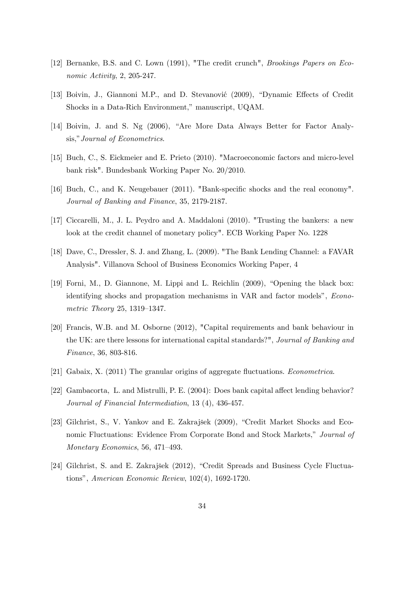- [12] Bernanke, B.S. and C. Lown (1991), "The credit crunch", *Brookings Papers on Eco*nomic Activity, 2, 205-247.
- [13] Boivin, J., Giannoni M.P., and D. Stevanović (2009), "Dynamic Effects of Credit Shocks in a Data-Rich Environment," manuscript, UQAM.
- [14] Boivin, J. and S. Ng  $(2006)$ , "Are More Data Always Better for Factor Analysis," Journal of Econometrics.
- [15] Buch, C., S. Eickmeier and E. Prieto (2010). "Macroeconomic factors and micro-level bank risk". Bundesbank Working Paper No. 20/2010.
- [16] Buch, C., and K. Neugebauer (2011). "Bank-specific shocks and the real economy". Journal of Banking and Finance, 35, 2179-2187.
- [17] Ciccarelli, M., J. L. Peydro and A. Maddaloni (2010). "Trusting the bankers: a new look at the credit channel of monetary policy". ECB Working Paper No. 1228
- [18] Dave, C., Dressler, S. J. and Zhang, L. (2009). "The Bank Lending Channel: a FAVAR Analysis". Villanova School of Business Economics Working Paper, 4
- $[19]$  Forni, M., D. Giannone, M. Lippi and L. Reichlin  $(2009)$ , "Opening the black box: identifying shocks and propagation mechanisms in VAR and factor models", *Econo*metric Theory 25, 1319–1347.
- [20] Francis, W.B. and M. Osborne (2012), "Capital requirements and bank behaviour in the UK: are there lessons for international capital standards?", Journal of Banking and Finance, 36, 803-816.
- [21] Gabaix, X. (2011) The granular origins of aggregate fluctuations. *Econometrica*.
- [22] Gambacorta, L. and Mistrulli, P. E. (2004): Does bank capital affect lending behavior? Journal of Financial Intermediation, 13 (4), 436-457.
- [23] Gilchrist, S., V. Yankov and E. Zakrajšek (2009), "Credit Market Shocks and Economic Fluctuations: Evidence From Corporate Bond and Stock Markets," Journal of Monetary Economics, 56, 471-493.
- [24] Gilchrist, S. and E. Zakrajšek (2012), "Credit Spreads and Business Cycle Fluctuationsî, American Economic Review, 102(4), 1692-1720.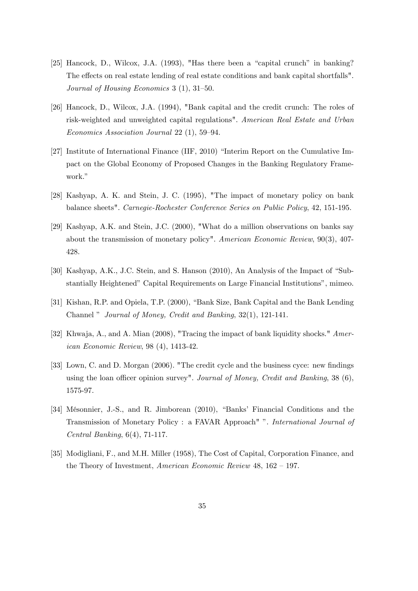- $[25]$  Hancock, D., Wilcox, J.A.  $(1993)$ , "Has there been a "capital crunch" in banking? The effects on real estate lending of real estate conditions and bank capital shortfalls". Journal of Housing Economics  $3(1), 31-50.$
- [26] Hancock, D., Wilcox, J.A. (1994), "Bank capital and the credit crunch: The roles of risk-weighted and unweighted capital regulations". American Real Estate and Urban  $Economics Association Journal 22 (1), 59–94.$
- [27] Institute of International Finance (IIF, 2010) "Interim Report on the Cumulative Impact on the Global Economy of Proposed Changes in the Banking Regulatory Framework."
- [28] Kashyap, A. K. and Stein, J. C. (1995), "The impact of monetary policy on bank balance sheets". Carnegie-Rochester Conference Series on Public Policy, 42, 151-195.
- [29] Kashyap, A.K. and Stein, J.C. (2000), "What do a million observations on banks say about the transmission of monetary policy". American Economic Review, 90(3), 407- 428.
- $[30]$  Kashyap, A.K., J.C. Stein, and S. Hanson  $(2010)$ , An Analysis of the Impact of "Substantially Heightened" Capital Requirements on Large Financial Institutions", mimeo.
- [31] Kishan, R.P. and Opiela, T.P. (2000), "Bank Size, Bank Capital and the Bank Lending Channel  $\degree$  Journal of Money, Credit and Banking, 32(1), 121-141.
- [32] Khwaja, A., and A. Mian (2008), "Tracing the impact of bank liquidity shocks." American Economic Review, 98 (4), 1413-42.
- [33] Lown, C. and D. Morgan (2006). "The credit cycle and the business cyce: new findings using the loan officer opinion survey". Journal of Money, Credit and Banking,  $38(6)$ , 1575-97.
- [34] Mésonnier, J.-S., and R. Jimborean (2010), "Banks' Financial Conditions and the Transmission of Monetary Policy : a FAVAR Approach" ". International Journal of Central Banking, 6(4), 71-117.
- [35] Modigliani, F., and M.H. Miller (1958), The Cost of Capital, Corporation Finance, and the Theory of Investment, American Economic Review  $48, 162 - 197$ .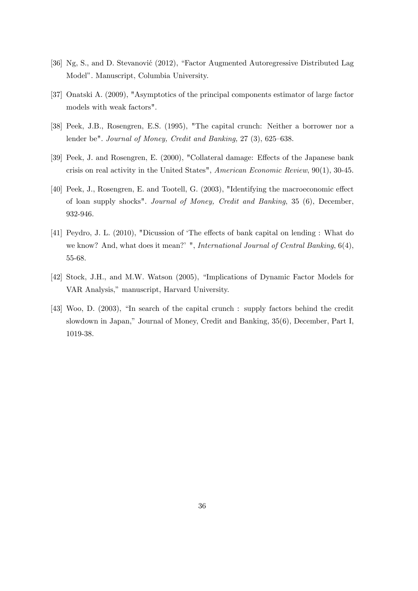- [36] Ng, S., and D. Stevanović (2012), "Factor Augmented Autoregressive Distributed Lag Model". Manuscript, Columbia University.
- [37] Onatski A. (2009), "Asymptotics of the principal components estimator of large factor models with weak factors".
- [38] Peek, J.B., Rosengren, E.S. (1995), "The capital crunch: Neither a borrower nor a lender be". Journal of Money, Credit and Banking,  $27$  (3),  $625-638$ .
- [39] Peek, J. and Rosengren, E. (2000), "Collateral damage: Effects of the Japanese bank crisis on real activity in the United States", American Economic Review, 90(1), 30-45.
- [40] Peek, J., Rosengren, E. and Tootell, G. (2003), "Identifying the macroeconomic effect of loan supply shocks". Journal of Money, Credit and Banking, 35 (6), December, 932-946.
- [41] Peydro, J. L. (2010), "Dicussion of 'The effects of bank capital on lending : What do we know? And, what does it mean?<sup>'</sup> ", *International Journal of Central Banking*, 6(4), 55-68.
- [42] Stock, J.H., and M.W. Watson (2005), "Implications of Dynamic Factor Models for VAR Analysis," manuscript, Harvard University.
- [43] Woo, D.  $(2003)$ , "In search of the capital crunch : supply factors behind the credit slowdown in Japan," Journal of Money, Credit and Banking, 35(6), December, Part I, 1019-38.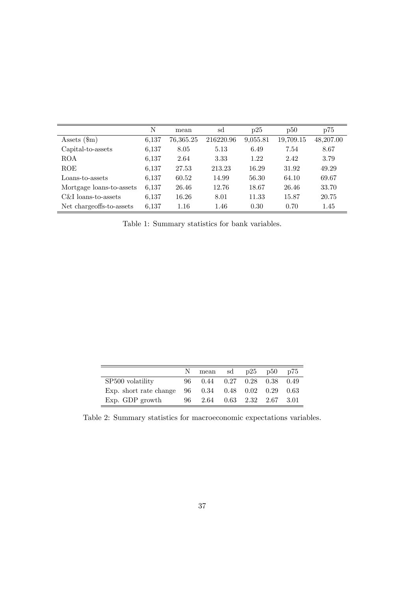|                          | N     | mean      | sd        | p25      | p50       | p75       |
|--------------------------|-------|-----------|-----------|----------|-----------|-----------|
| Assets $(\text{m})$      | 6,137 | 76,365.25 | 216220.96 | 9,055.81 | 19,709.15 | 48,207.00 |
| Capital-to-assets        | 6,137 | 8.05      | 5.13      | 6.49     | 7.54      | 8.67      |
| <b>ROA</b>               | 6,137 | 2.64      | 3.33      | 1.22     | 2.42      | 3.79      |
| <b>ROE</b>               | 6,137 | 27.53     | 213.23    | 16.29    | 31.92     | 49.29     |
| Loans-to-assets          | 6,137 | 60.52     | 14.99     | 56.30    | 64.10     | 69.67     |
| Mortgage loans-to-assets | 6,137 | 26.46     | 12.76     | 18.67    | 26.46     | 33.70     |
| C&I loans-to-assets      | 6,137 | 16.26     | 8.01      | 11.33    | 15.87     | 20.75     |
| Net chargeoffs-to-assets | 6.137 | 1.16      | 1.46      | 0.30     | 0.70      | 1.45      |

Table 1: Summary statistics for bank variables.

|                                                                                    | mean sd $p25$ $p50$ $p75$          |  |  |
|------------------------------------------------------------------------------------|------------------------------------|--|--|
| SP <sub>500</sub> volatility                                                       | $0.44$ $0.27$ $0.28$ $0.38$ $0.49$ |  |  |
| Exp. short rate change $96 \quad 0.34 \quad 0.48 \quad 0.02 \quad 0.29 \quad 0.63$ |                                    |  |  |
| $Exp. GDP$ growth                                                                  | 96 2.64 0.63 2.32 2.67 3.01        |  |  |

Table 2: Summary statistics for macroeconomic expectations variables.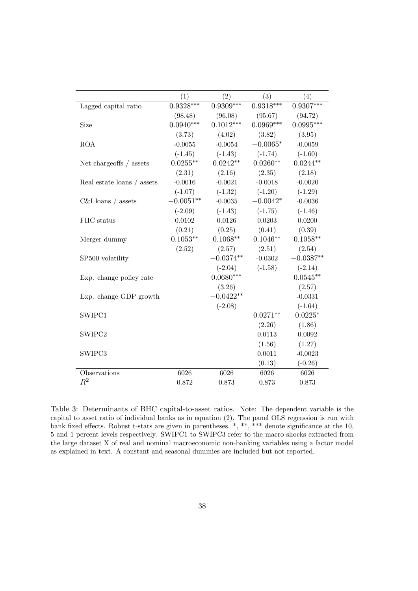|                            | (1)         | (2)         | (3)         | (4)         |
|----------------------------|-------------|-------------|-------------|-------------|
| Lagged capital ratio       | $0.9328***$ | $0.9309***$ | $0.9318***$ | $0.9307***$ |
|                            | (98.48)     | (96.08)     | (95.67)     | (94.72)     |
| Size                       | $0.0940***$ | $0.1012***$ | $0.0969***$ | $0.0995***$ |
|                            | (3.73)      | (4.02)      | (3.82)      | (3.95)      |
| <b>ROA</b>                 | $-0.0055$   | $-0.0054$   | $-0.0065*$  | $-0.0059$   |
|                            | $(-1.45)$   | $(-1.43)$   | $(-1.74)$   | $(-1.60)$   |
| Net chargeoffs / assets    | $0.0255**$  | $0.0242**$  | $0.0260**$  | $0.0244**$  |
|                            | (2.31)      | (2.16)      | (2.35)      | (2.18)      |
| Real estate loans / assets | $-0.0016$   | $-0.0021$   | $-0.0018$   | $-0.0020$   |
|                            | $(-1.07)$   | $(-1.32)$   | $(-1.20)$   | $(-1.29)$   |
| $C&I$ loans / assets       | $-0.0051**$ | $-0.0035$   | $-0.0042*$  | $-0.0036$   |
|                            | $(-2.09)$   | $(-1.43)$   | $(-1.75)$   | $(-1.46)$   |
| FHC status                 | 0.0102      | 0.0126      | 0.0203      | 0.0200      |
|                            | (0.21)      | (0.25)      | (0.41)      | (0.39)      |
| Merger dummy               | $0.1053**$  | $0.1068**$  | $0.1046**$  | $0.1058**$  |
|                            | (2.52)      | (2.57)      | (2.51)      | (2.54)      |
| SP500 volatility           |             | $-0.0374**$ | $-0.0302$   | $-0.0387**$ |
|                            |             | $(-2.04)$   | $(-1.58)$   | $(-2.14)$   |
| Exp. change policy rate    |             | $0.0680***$ |             | $0.0545**$  |
|                            |             | (3.26)      |             | (2.57)      |
| Exp. change GDP growth     |             | $-0.0422**$ |             | $-0.0331$   |
|                            |             | $(-2.08)$   |             | $(-1.64)$   |
| SWIPC1                     |             |             | $0.0271**$  | $0.0225*$   |
|                            |             |             | (2.26)      | (1.86)      |
| SWIPC2                     |             |             | 0.0113      | 0.0092      |
|                            |             |             | (1.56)      | (1.27)      |
| SWIPC3                     |             |             | 0.0011      | $-0.0023$   |
|                            |             |             | (0.13)      | $(-0.26)$   |
| Observations               | 6026        | 6026        | 6026        | 6026        |
| $\,R^2$                    | 0.872       | 0.873       | 0.873       | 0.873       |

Table 3: Determinants of BHC capital-to-asset ratios. Note: The dependent variable is the capital to asset ratio of individual banks as in equation (2). The panel OLS regression is run with bank fixed effects. Robust t-stats are given in parentheses.  $*,$  \*\*, \*\*\* denote significance at the 10, 5 and 1 percent levels respectively. SWIPC1 to SWIPC3 refer to the macro shocks extracted from the large dataset X of real and nominal macroeconomic non-banking variables using a factor model as explained in text. A constant and seasonal dummies are included but not reported.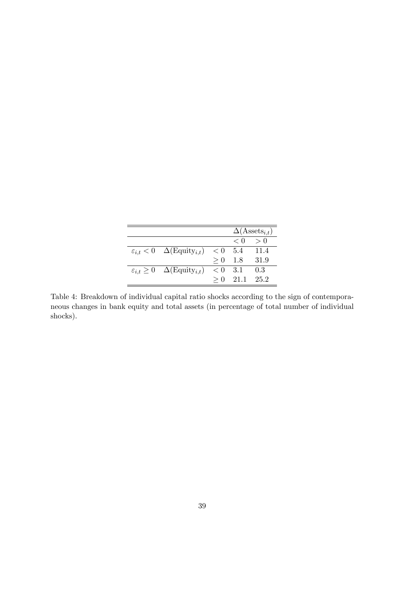|                                                              |           |                         | $\Delta(\text{Assets}_{i,t})$ |
|--------------------------------------------------------------|-----------|-------------------------|-------------------------------|
|                                                              |           | $\langle 0 \rangle > 0$ |                               |
| $\varepsilon_{i,t} < 0 \quad \Delta(\text{Equity}_{i,t})$    | < 0       | 5.4 11.4                |                               |
|                                                              | $> 0$ 1.8 |                         | - 31.9                        |
| $\varepsilon_{i,t} \geq 0 \quad \Delta(\text{Equity}_{i,t})$ | $< 0$ 3.1 |                         | 0.3                           |
|                                                              |           | $> 0$ 21.1 25.2         |                               |
|                                                              |           |                         |                               |

Table 4: Breakdown of individual capital ratio shocks according to the sign of contemporaneous changes in bank equity and total assets (in percentage of total number of individual shocks).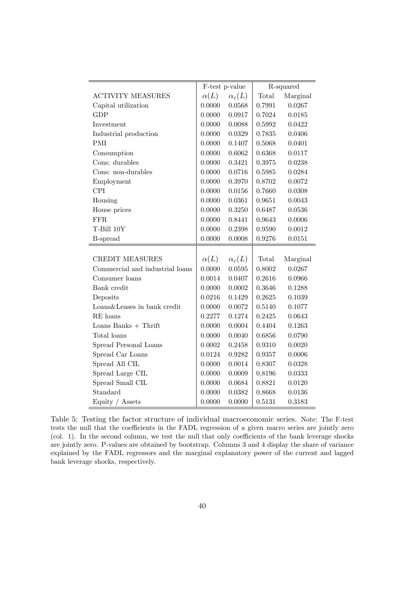|                                 | F-test p-value |                           | R-squared |          |
|---------------------------------|----------------|---------------------------|-----------|----------|
| <b>ACTIVITY MEASURES</b>        | $\alpha(L)$    | $\alpha_{\varepsilon}(L)$ | Total     | Marginal |
| Capital utilization             | 0.0000         | 0.0568                    | 0.7991    | 0.0267   |
| <b>GDP</b>                      | 0.0000         | 0.0917                    | 0.7024    | 0.0185   |
| Investment                      | 0.0000         | 0.0088                    | 0.5992    | 0.0422   |
| Industrial production           | 0.0000         | 0.0329                    | 0.7835    | 0.0406   |
| PMI                             | 0.0000         | 0.1407                    | 0.5068    | 0.0401   |
| Consumption                     | 0.0000         | 0.6062                    | 0.6368    | 0.0117   |
| Cons: durables                  | 0.0000         | 0.3421                    | 0.3975    | 0.0238   |
| Cons: non-durables              | 0.0000         | 0.0716                    | 0.5985    | 0.0284   |
| Employment                      | 0.0000         | 0.3970                    | 0.8702    | 0.0072   |
| <b>CPI</b>                      | 0.0000         | 0.0156                    | 0.7660    | 0.0308   |
| Housing                         | 0.0000         | 0.0361                    | 0.9651    | 0.0043   |
| House prices                    | 0.0000         | 0.3250                    | 0.6487    | 0.0536   |
| <b>FFR</b>                      | 0.0000         | 0.8441                    | 0.9643    | 0.0006   |
| T-Bill 10Y                      | 0.0000         | 0.2398                    | 0.9590    | 0.0012   |
| <b>B-spread</b>                 | 0.0000         | 0.0008                    | 0.9276    | 0.0151   |
|                                 |                |                           |           |          |
| <b>CREDIT MEASURES</b>          | $\alpha(L)$    | $\alpha_{\varepsilon}(L)$ | Total     | Marginal |
| Commercial and industrial loans | 0.0000         | 0.0595                    | 0.8002    | 0.0267   |
| Consumer loans                  | 0.0014         | 0.0407                    | 0.2616    | 0.0966   |
| Bank credit                     | 0.0000         | 0.0002                    | 0.3646    | 0.1288   |
| Deposits                        | 0.0216         | 0.1429                    | 0.2625    | 0.1039   |
| Loans&Leases in bank credit     | 0.0000         | 0.0072                    | 0.5140    | 0.1077   |
| RE loans                        | 0.2277         | 0.1274                    | 0.2425    | 0.0643   |
| Loans Banks $+$ Thrift          | 0.0000         | 0.0004                    | 0.4404    | 0.1263   |
| Total loans                     | 0.0000         | 0.0040                    | 0.6856    | 0.0790   |
| Spread Personal Loans           | 0.0002         | 0.2458                    | 0.9310    | 0.0020   |
| Spread Car Loans                | 0.0124         | 0.9282                    | 0.9357    | 0.0006   |
| Spread All CIL                  | 0.0000         | 0.0014                    | 0.8307    | 0.0328   |
| Spread Large CIL                | 0.0000         | 0.0009                    | 0.8196    | 0.0333   |
| Spread Small CIL                | 0.0000         | 0.0684                    | 0.8821    | 0.0120   |
| Standard                        | 0.0000         | 0.0382                    | 0.8668    | 0.0136   |
| Equity / Assets                 | 0.0000         | 0.0000                    | 0.5131    | 0.3183   |

Table 5: Testing the factor structure of individual macroeconomic series. Note: The F-test tests the null that the coefficients in the FADL regression of a given macro series are jointly zero (col. 1). In the second column, we test the null that only coefficients of the bank leverage shocks are jointly zero. P-values are obtained by bootstrap. Columns 3 and 4 display the share of variance explained by the FADL regressors and the marginal explanatory power of the current and lagged bank leverage shocks, respectively.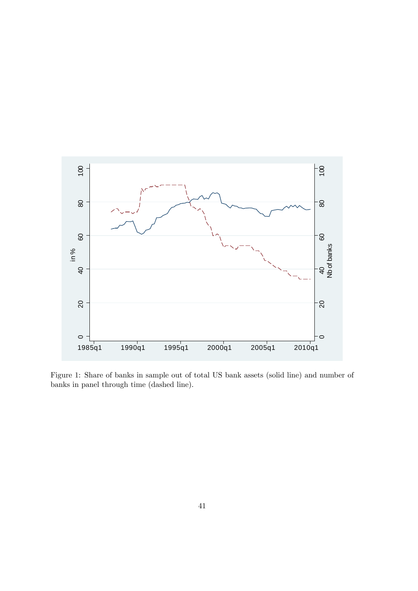

Figure 1: Share of banks in sample out of total US bank assets (solid line) and number of banks in panel through time (dashed line).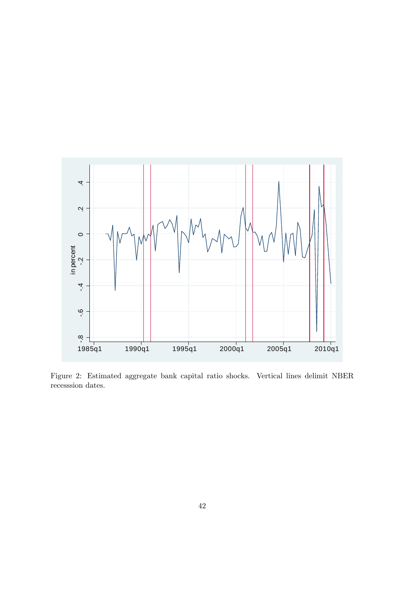

Figure 2: Estimated aggregate bank capital ratio shocks. Vertical lines delimit NBER recesssion dates.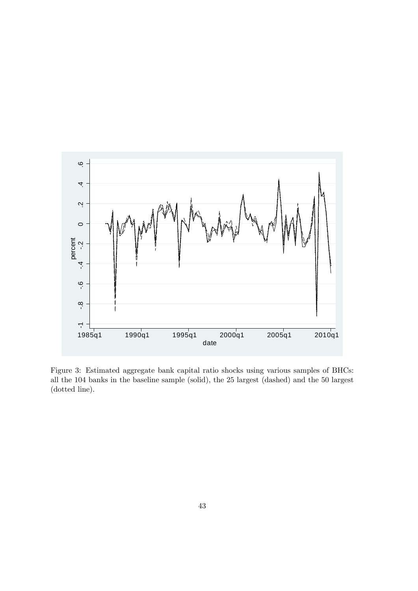

Figure 3: Estimated aggregate bank capital ratio shocks using various samples of BHCs: all the 104 banks in the baseline sample (solid), the 25 largest (dashed) and the 50 largest (dotted line).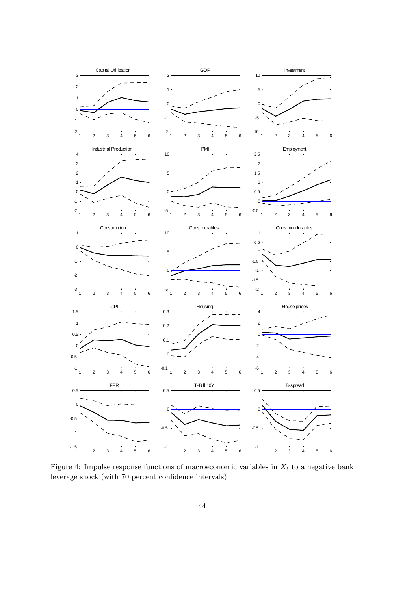

Figure 4: Impulse response functions of macroeconomic variables in  $X_t$  to a negative bank leverage shock (with 70 percent confidence intervals)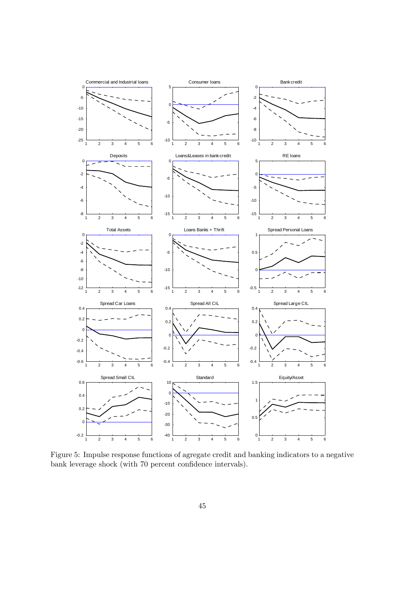

Figure 5: Impulse response functions of agregate credit and banking indicators to a negative bank leverage shock (with 70 percent confidence intervals).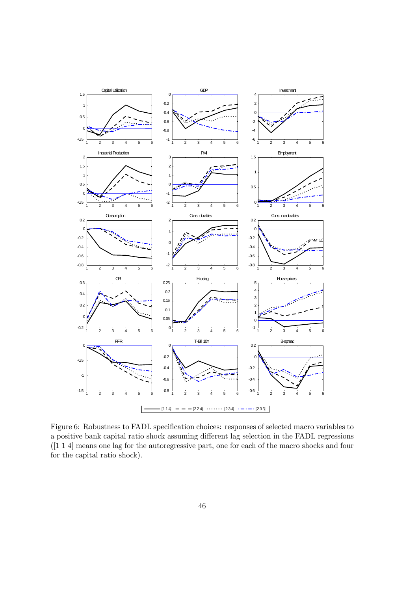

Figure 6: Robustness to FADL specification choices: responses of selected macro variables to a positive bank capital ratio shock assuming different lag selection in the FADL regressions ([1 1 4] means one lag for the autoregressive part, one for each of the macro shocks and four for the capital ratio shock).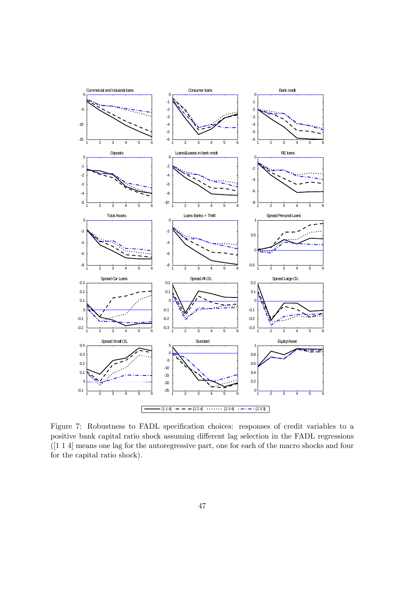

Figure 7: Robustness to FADL specification choices: responses of credit variables to a positive bank capital ratio shock assuming different lag selection in the FADL regressions ([1 1 4] means one lag for the autoregressive part, one for each of the macro shocks and four for the capital ratio shock).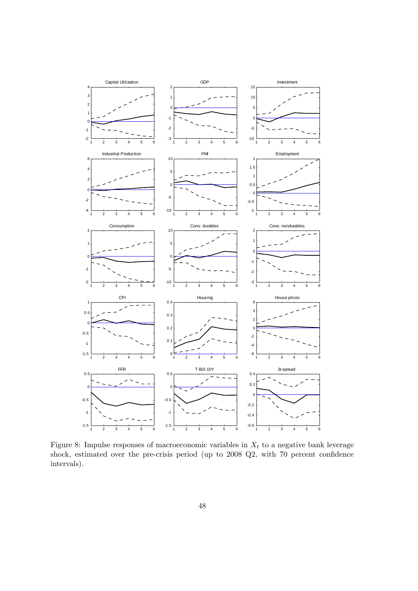

Figure 8: Impulse responses of macroeconomic variables in  $X_t$  to a negative bank leverage shock, estimated over the pre-crisis period (up to  $2008$   $Q2$ , with  $70$  percent confidence intervals).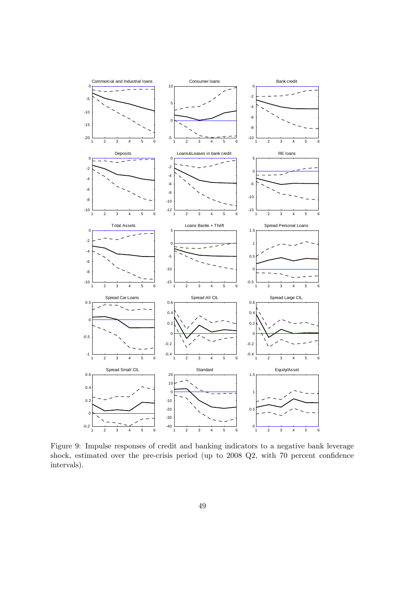

Figure 9: Impulse responses of credit and banking indicators to a negative bank leverage shock, estimated over the pre-crisis period (up to  $2008$   $Q2$ , with  $70$  percent confidence intervals).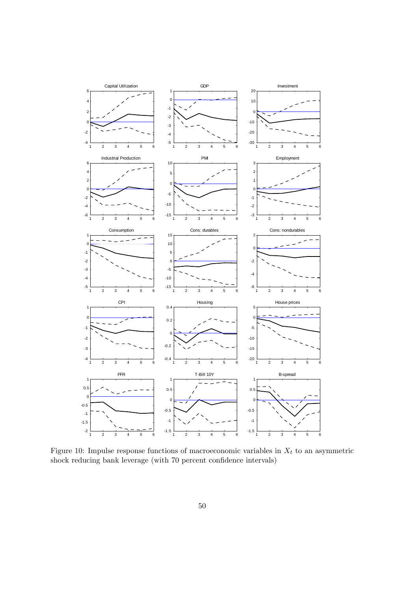

Figure 10: Impulse response functions of macroeconomic variables in  $X_t$  to an asymmetric shock reducing bank leverage (with 70 percent confidence intervals)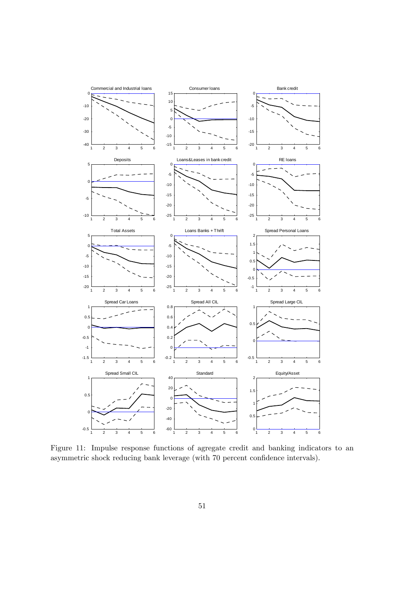

Figure 11: Impulse response functions of agregate credit and banking indicators to an asymmetric shock reducing bank leverage (with 70 percent confidence intervals).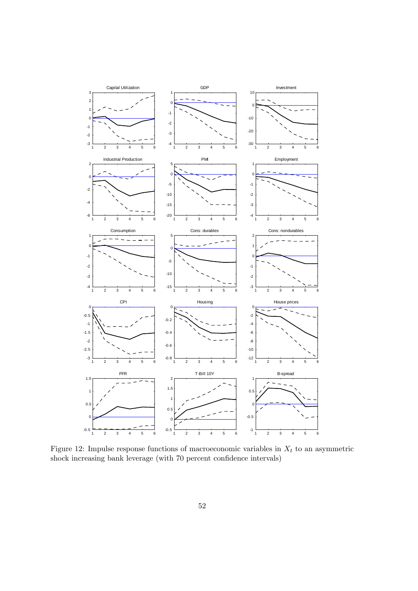

Figure 12: Impulse response functions of macroeconomic variables in  $X_t$  to an asymmetric shock increasing bank leverage (with 70 percent confidence intervals)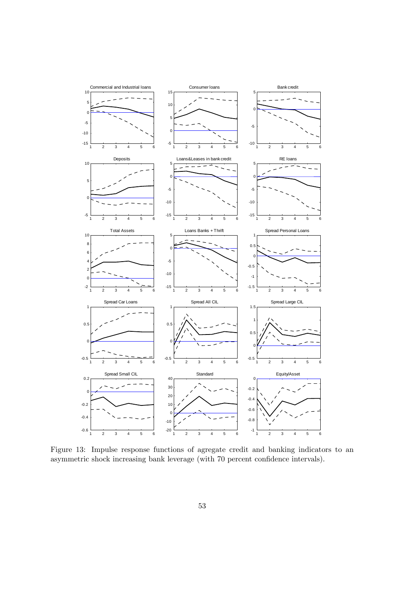

Figure 13: Impulse response functions of agregate credit and banking indicators to an asymmetric shock increasing bank leverage (with 70 percent confidence intervals).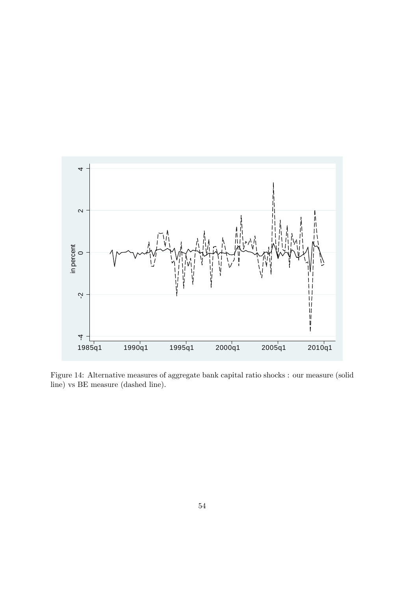

Figure 14: Alternative measures of aggregate bank capital ratio shocks : our measure (solid line) vs BE measure (dashed line).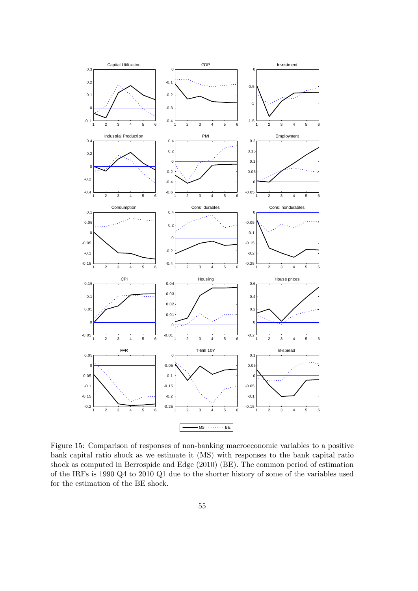

Figure 15: Comparison of responses of non-banking macroeconomic variables to a positive bank capital ratio shock as we estimate it (MS) with responses to the bank capital ratio shock as computed in Berrospide and Edge (2010) (BE). The common period of estimation of the IRFs is 1990 Q4 to 2010 Q1 due to the shorter history of some of the variables used for the estimation of the BE shock.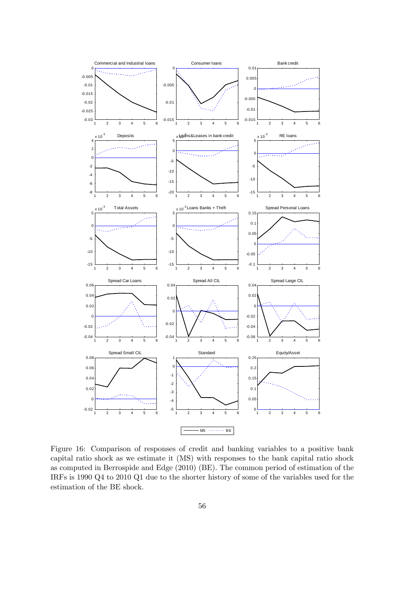

Figure 16: Comparison of responses of credit and banking variables to a positive bank capital ratio shock as we estimate it (MS) with responses to the bank capital ratio shock as computed in Berrospide and Edge (2010) (BE). The common period of estimation of the IRFs is 1990 Q4 to 2010 Q1 due to the shorter history of some of the variables used for the estimation of the BE shock.